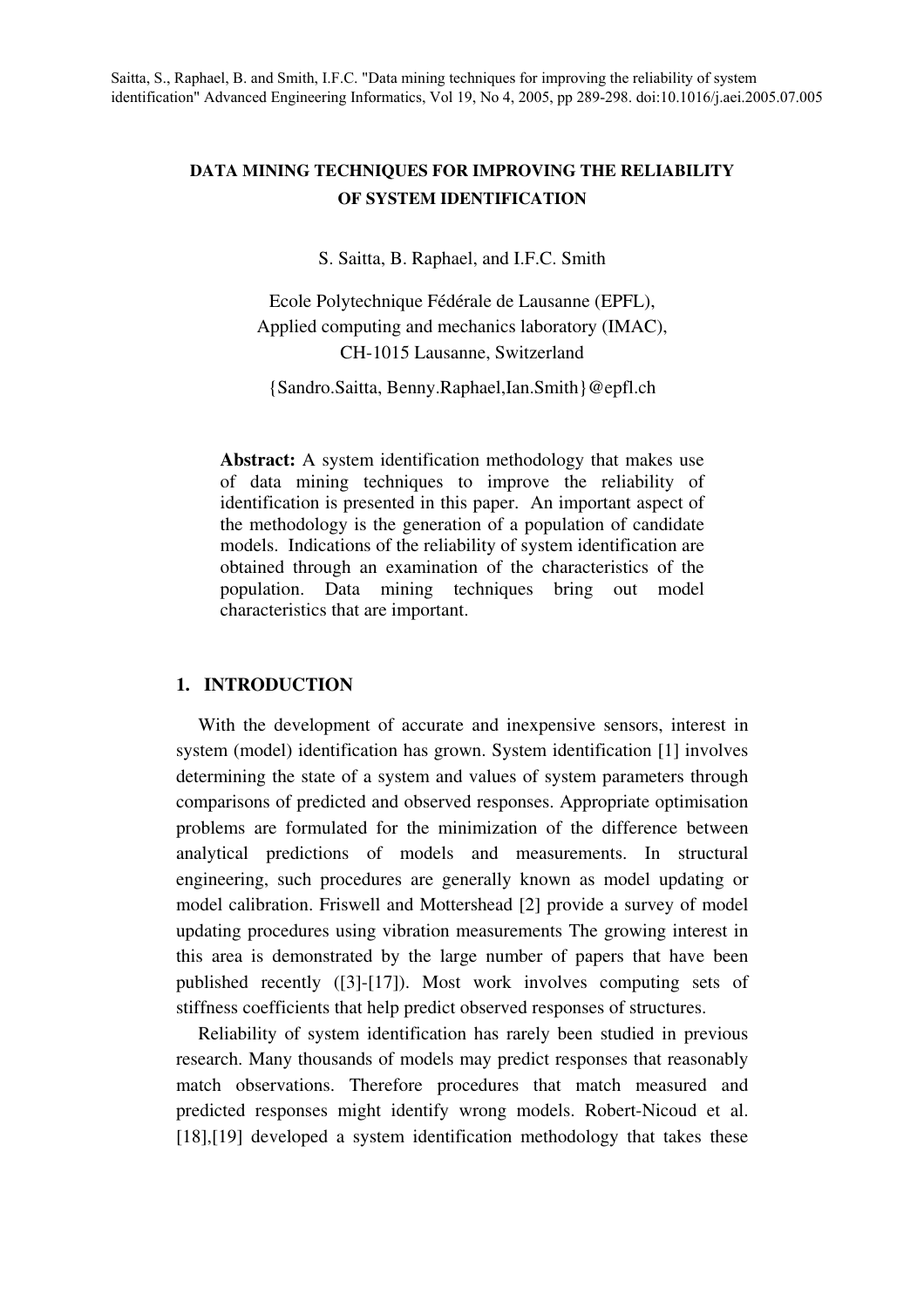# **DATA MINING TECHNIQUES FOR IMPROVING THE RELIABILITY OF SYSTEM IDENTIFICATION**

S. Saitta, B. Raphael, and I.F.C. Smith

Ecole Polytechnique Fédérale de Lausanne (EPFL), Applied computing and mechanics laboratory (IMAC), CH-1015 Lausanne, Switzerland

{Sandro.Saitta, Benny.Raphael,Ian.Smith}@epfl.ch

**Abstract:** A system identification methodology that makes use of data mining techniques to improve the reliability of identification is presented in this paper. An important aspect of the methodology is the generation of a population of candidate models. Indications of the reliability of system identification are obtained through an examination of the characteristics of the population. Data mining techniques bring out model characteristics that are important.

# **1. INTRODUCTION**

With the development of accurate and inexpensive sensors, interest in system (model) identification has grown. System identification [1] involves determining the state of a system and values of system parameters through comparisons of predicted and observed responses. Appropriate optimisation problems are formulated for the minimization of the difference between analytical predictions of models and measurements. In structural engineering, such procedures are generally known as model updating or model calibration. Friswell and Mottershead [2] provide a survey of model updating procedures using vibration measurements The growing interest in this area is demonstrated by the large number of papers that have been published recently ([3]-[17]). Most work involves computing sets of stiffness coefficients that help predict observed responses of structures.

Reliability of system identification has rarely been studied in previous research. Many thousands of models may predict responses that reasonably match observations. Therefore procedures that match measured and predicted responses might identify wrong models. Robert-Nicoud et al. [18],[19] developed a system identification methodology that takes these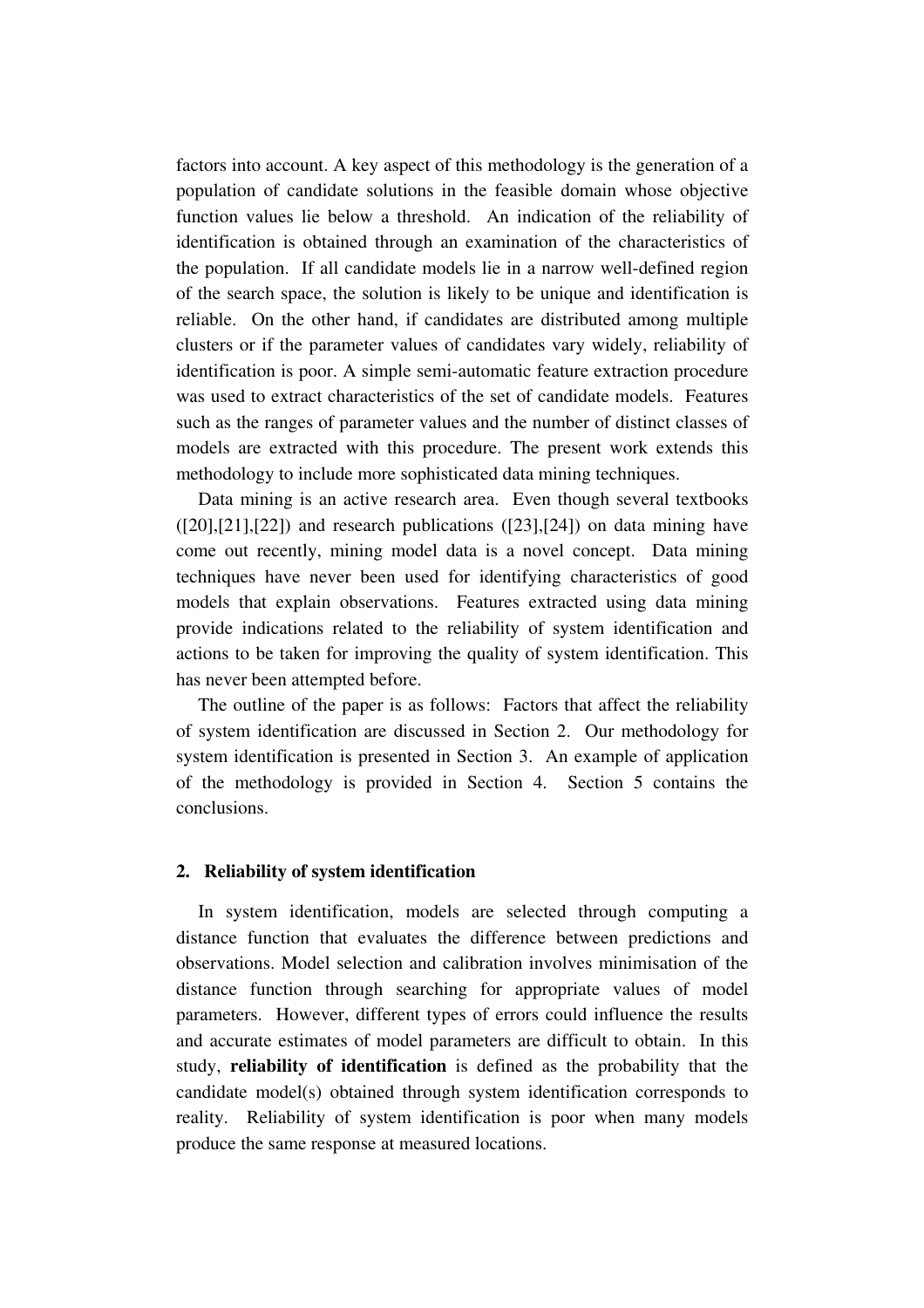factors into account. A key aspect of this methodology is the generation of a population of candidate solutions in the feasible domain whose objective function values lie below a threshold. An indication of the reliability of identification is obtained through an examination of the characteristics of the population. If all candidate models lie in a narrow well-defined region of the search space, the solution is likely to be unique and identification is reliable. On the other hand, if candidates are distributed among multiple clusters or if the parameter values of candidates vary widely, reliability of identification is poor. A simple semi-automatic feature extraction procedure was used to extract characteristics of the set of candidate models. Features such as the ranges of parameter values and the number of distinct classes of models are extracted with this procedure. The present work extends this methodology to include more sophisticated data mining techniques.

Data mining is an active research area. Even though several textbooks  $([20],[21],[22])$  and research publications  $([23],[24])$  on data mining have come out recently, mining model data is a novel concept. Data mining techniques have never been used for identifying characteristics of good models that explain observations. Features extracted using data mining provide indications related to the reliability of system identification and actions to be taken for improving the quality of system identification. This has never been attempted before.

The outline of the paper is as follows: Factors that affect the reliability of system identification are discussed in Section 2. Our methodology for system identification is presented in Section 3. An example of application of the methodology is provided in Section 4. Section 5 contains the conclusions.

#### **2. Reliability of system identification**

In system identification, models are selected through computing a distance function that evaluates the difference between predictions and observations. Model selection and calibration involves minimisation of the distance function through searching for appropriate values of model parameters. However, different types of errors could influence the results and accurate estimates of model parameters are difficult to obtain. In this study, **reliability of identification** is defined as the probability that the candidate model(s) obtained through system identification corresponds to reality. Reliability of system identification is poor when many models produce the same response at measured locations.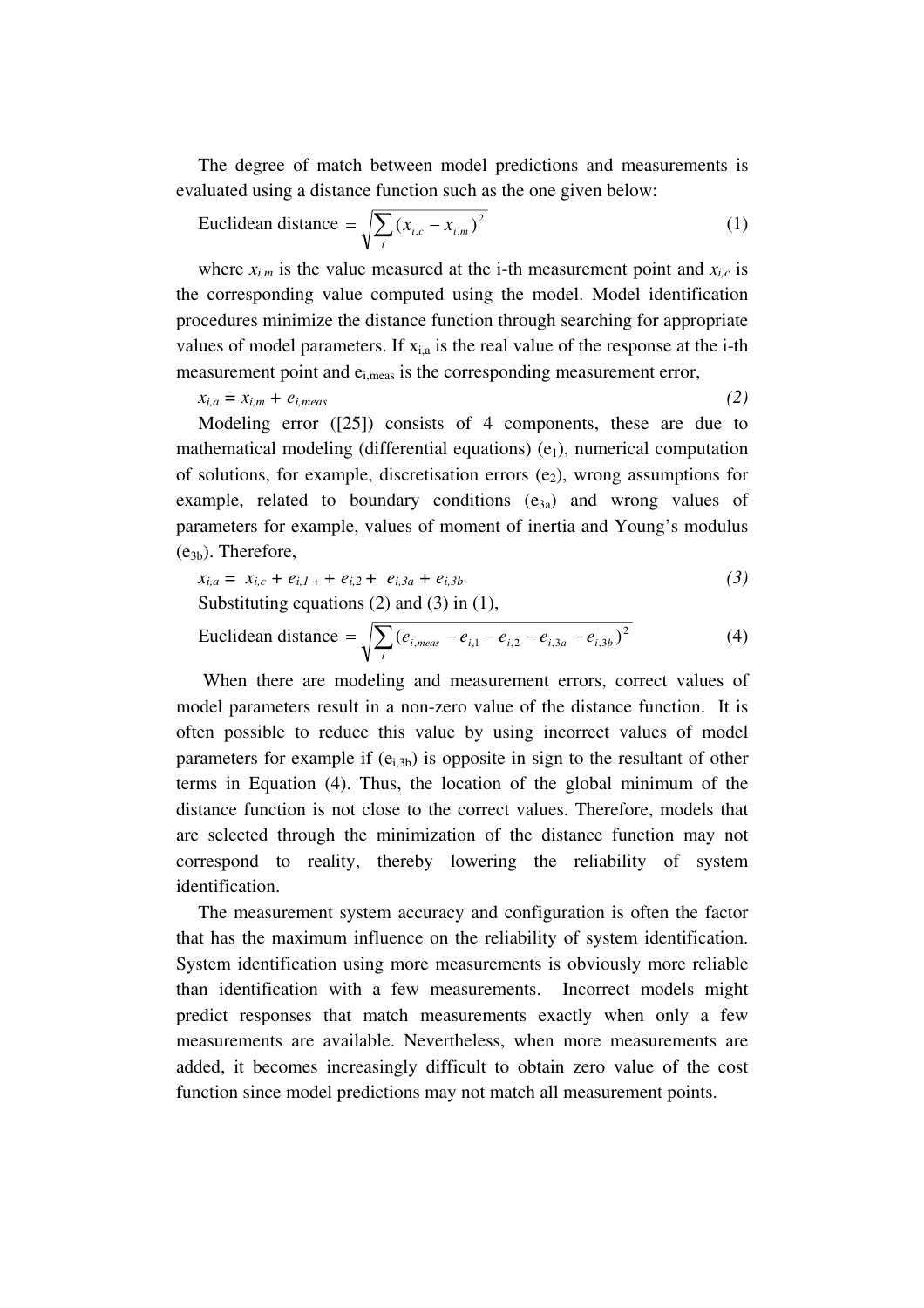The degree of match between model predictions and measurements is evaluated using a distance function such as the one given below:

Euclidean distance = 
$$
\sqrt{\sum_{i} (x_{i,c} - x_{i,m})^2}
$$
 (1)

where  $x_{i,m}$  is the value measured at the i-th measurement point and  $x_{i,c}$  is the corresponding value computed using the model. Model identification procedures minimize the distance function through searching for appropriate values of model parameters. If  $x_{i,a}$  is the real value of the response at the i-th measurement point and  $e_{i,meas}$  is the corresponding measurement error,

 $x_{i,a} = x_{i,m} + e_{i,meas}$  (2)

Modeling error ([25]) consists of 4 components, these are due to mathematical modeling (differential equations)  $(e_1)$ , numerical computation of solutions, for example, discretisation errors  $(e_2)$ , wrong assumptions for example, related to boundary conditions  $(e_{3a})$  and wrong values of parameters for example, values of moment of inertia and Young's modulus  $(e_{3b})$ . Therefore,

$$
x_{i,a} = x_{i,c} + e_{i,1} + e_{i,2} + e_{i,3a} + e_{i,3b}
$$
 (3)

Substituting equations (2) and (3) in (1),

Euclidean distance = 
$$
\sqrt{\sum_{i} (e_{i,meas} - e_{i,1} - e_{i,2} - e_{i,3a} - e_{i,3b})^2}
$$
 (4)

 When there are modeling and measurement errors, correct values of model parameters result in a non-zero value of the distance function. It is often possible to reduce this value by using incorrect values of model parameters for example if  $(e_{i,3b})$  is opposite in sign to the resultant of other terms in Equation (4). Thus, the location of the global minimum of the distance function is not close to the correct values. Therefore, models that are selected through the minimization of the distance function may not correspond to reality, thereby lowering the reliability of system identification.

The measurement system accuracy and configuration is often the factor that has the maximum influence on the reliability of system identification. System identification using more measurements is obviously more reliable than identification with a few measurements. Incorrect models might predict responses that match measurements exactly when only a few measurements are available. Nevertheless, when more measurements are added, it becomes increasingly difficult to obtain zero value of the cost function since model predictions may not match all measurement points.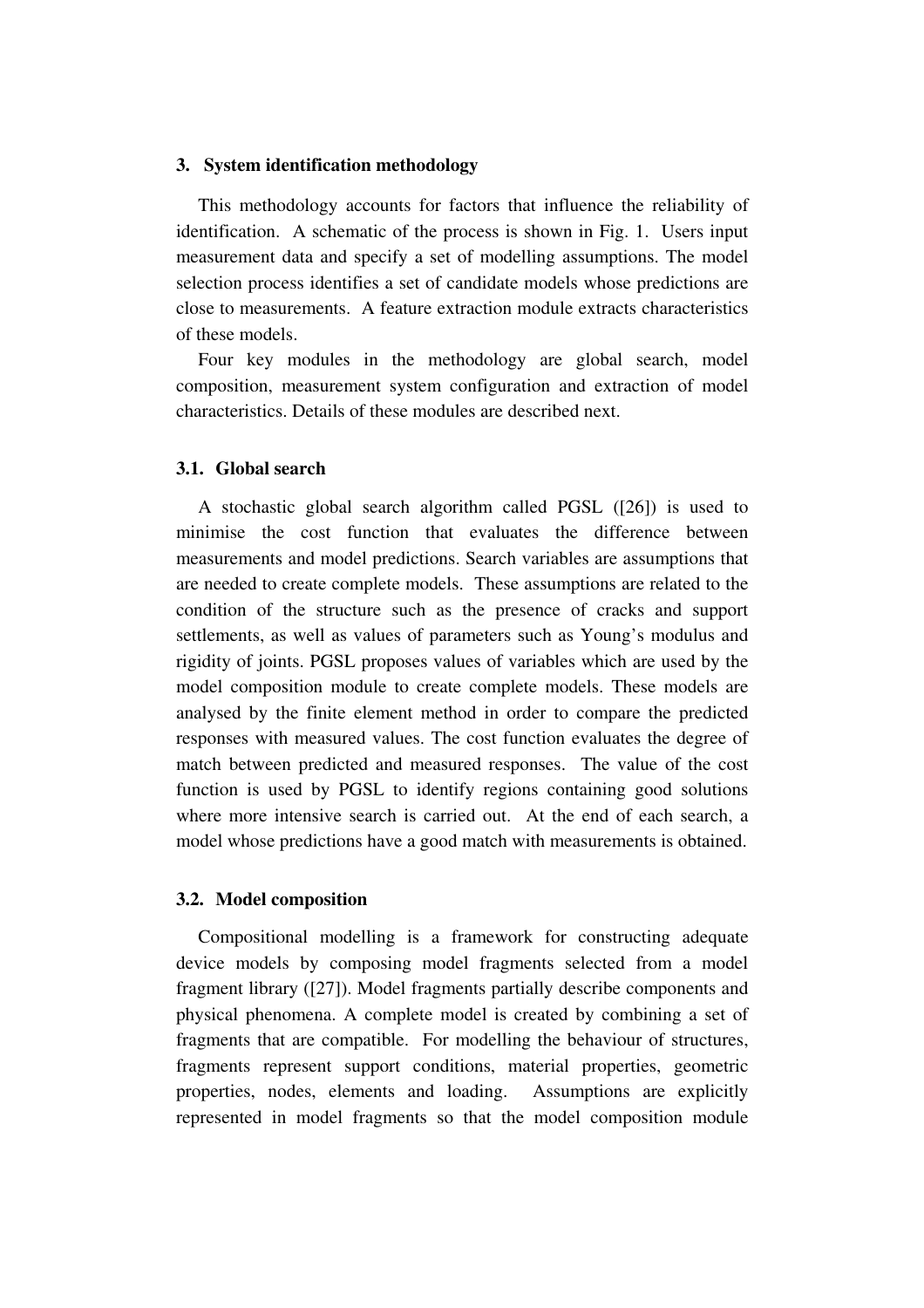# **3. System identification methodology**

This methodology accounts for factors that influence the reliability of identification. A schematic of the process is shown in Fig. 1. Users input measurement data and specify a set of modelling assumptions. The model selection process identifies a set of candidate models whose predictions are close to measurements. A feature extraction module extracts characteristics of these models.

Four key modules in the methodology are global search, model composition, measurement system configuration and extraction of model characteristics. Details of these modules are described next.

# **3.1. Global search**

A stochastic global search algorithm called PGSL ([26]) is used to minimise the cost function that evaluates the difference between measurements and model predictions. Search variables are assumptions that are needed to create complete models. These assumptions are related to the condition of the structure such as the presence of cracks and support settlements, as well as values of parameters such as Young's modulus and rigidity of joints. PGSL proposes values of variables which are used by the model composition module to create complete models. These models are analysed by the finite element method in order to compare the predicted responses with measured values. The cost function evaluates the degree of match between predicted and measured responses. The value of the cost function is used by PGSL to identify regions containing good solutions where more intensive search is carried out. At the end of each search, a model whose predictions have a good match with measurements is obtained.

# **3.2. Model composition**

Compositional modelling is a framework for constructing adequate device models by composing model fragments selected from a model fragment library ([27]). Model fragments partially describe components and physical phenomena. A complete model is created by combining a set of fragments that are compatible. For modelling the behaviour of structures, fragments represent support conditions, material properties, geometric properties, nodes, elements and loading. Assumptions are explicitly represented in model fragments so that the model composition module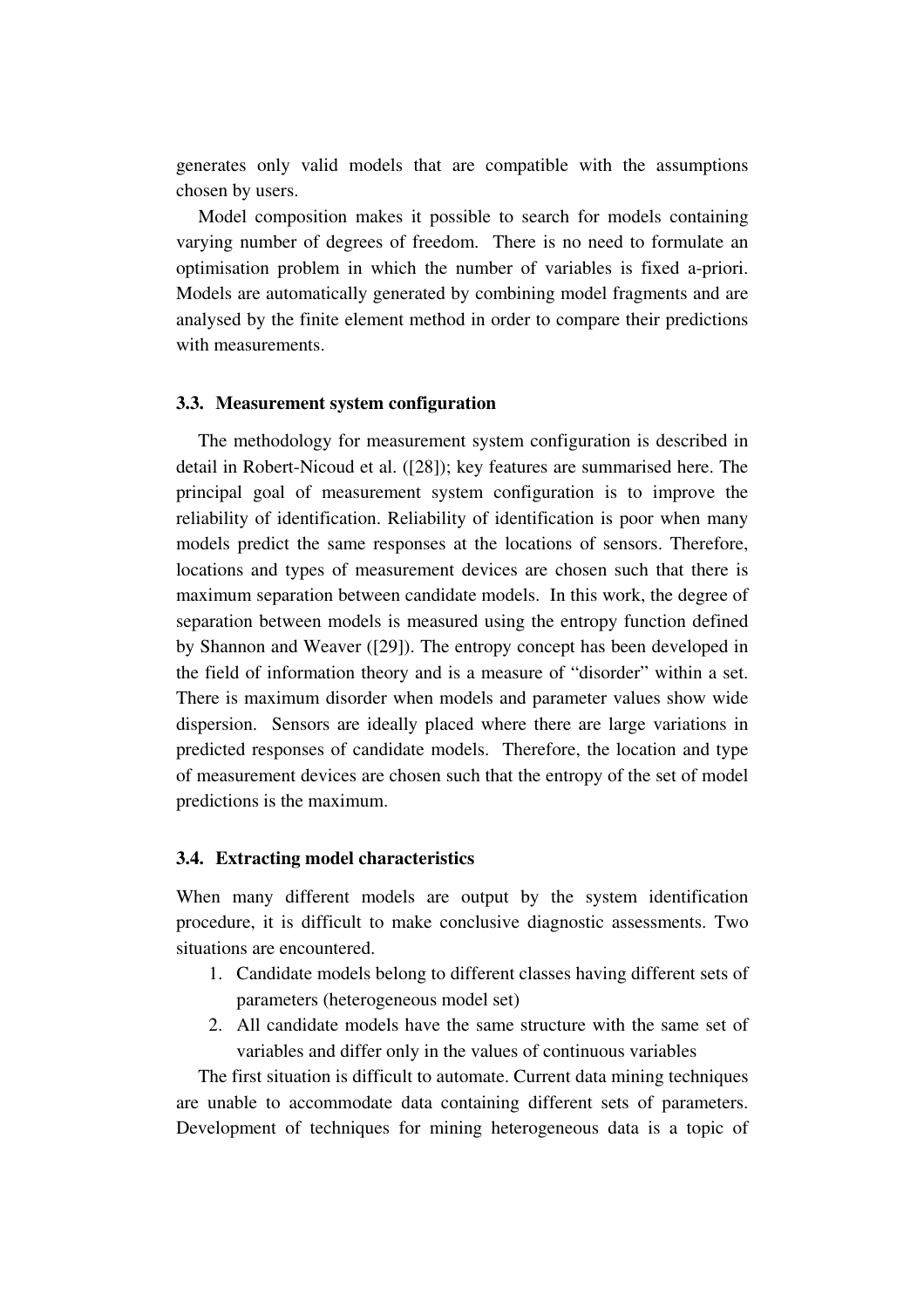generates only valid models that are compatible with the assumptions chosen by users.

Model composition makes it possible to search for models containing varying number of degrees of freedom. There is no need to formulate an optimisation problem in which the number of variables is fixed a-priori. Models are automatically generated by combining model fragments and are analysed by the finite element method in order to compare their predictions with measurements.

# **3.3. Measurement system configuration**

The methodology for measurement system configuration is described in detail in Robert-Nicoud et al. ([28]); key features are summarised here. The principal goal of measurement system configuration is to improve the reliability of identification. Reliability of identification is poor when many models predict the same responses at the locations of sensors. Therefore, locations and types of measurement devices are chosen such that there is maximum separation between candidate models. In this work, the degree of separation between models is measured using the entropy function defined by Shannon and Weaver ([29]). The entropy concept has been developed in the field of information theory and is a measure of "disorder" within a set. There is maximum disorder when models and parameter values show wide dispersion. Sensors are ideally placed where there are large variations in predicted responses of candidate models. Therefore, the location and type of measurement devices are chosen such that the entropy of the set of model predictions is the maximum.

### **3.4. Extracting model characteristics**

When many different models are output by the system identification procedure, it is difficult to make conclusive diagnostic assessments. Two situations are encountered.

- 1. Candidate models belong to different classes having different sets of parameters (heterogeneous model set)
- 2. All candidate models have the same structure with the same set of variables and differ only in the values of continuous variables

The first situation is difficult to automate. Current data mining techniques are unable to accommodate data containing different sets of parameters. Development of techniques for mining heterogeneous data is a topic of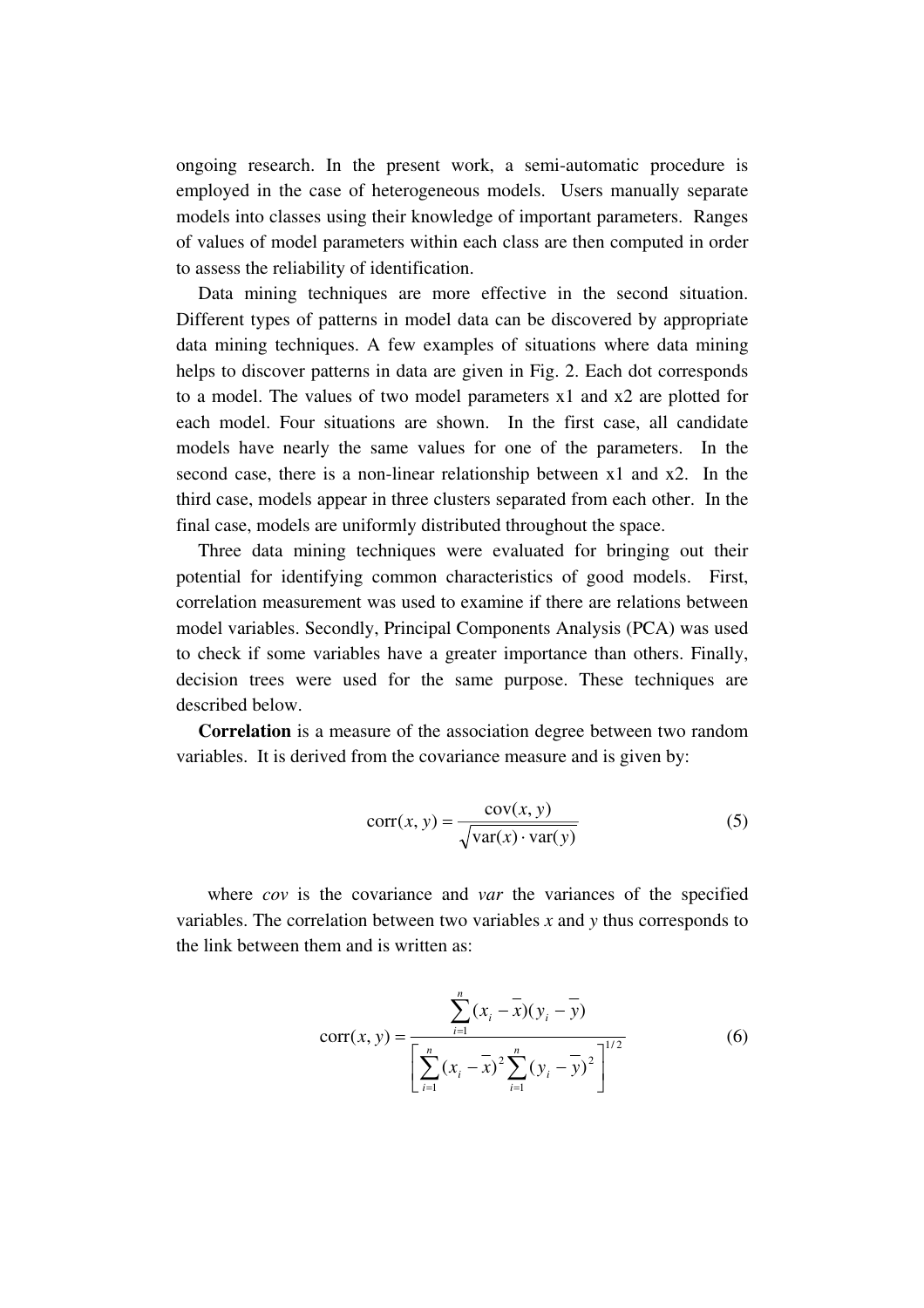ongoing research. In the present work, a semi-automatic procedure is employed in the case of heterogeneous models. Users manually separate models into classes using their knowledge of important parameters. Ranges of values of model parameters within each class are then computed in order to assess the reliability of identification.

Data mining techniques are more effective in the second situation. Different types of patterns in model data can be discovered by appropriate data mining techniques. A few examples of situations where data mining helps to discover patterns in data are given in Fig. 2. Each dot corresponds to a model. The values of two model parameters x1 and x2 are plotted for each model. Four situations are shown. In the first case, all candidate models have nearly the same values for one of the parameters. In the second case, there is a non-linear relationship between x1 and x2. In the third case, models appear in three clusters separated from each other. In the final case, models are uniformly distributed throughout the space.

Three data mining techniques were evaluated for bringing out their potential for identifying common characteristics of good models. First, correlation measurement was used to examine if there are relations between model variables. Secondly, Principal Components Analysis (PCA) was used to check if some variables have a greater importance than others. Finally, decision trees were used for the same purpose. These techniques are described below.

**Correlation** is a measure of the association degree between two random variables. It is derived from the covariance measure and is given by:

$$
corr(x, y) = \frac{cov(x, y)}{\sqrt{var(x) \cdot var(y)}}
$$
(5)

 where *cov* is the covariance and *var* the variances of the specified variables. The correlation between two variables *x* and *y* thus corresponds to the link between them and is written as:

$$
corr(x, y) = \frac{\sum_{i=1}^{n} (x_i - \overline{x})(y_i - \overline{y})}{\left[\sum_{i=1}^{n} (x_i - \overline{x})^2 \sum_{i=1}^{n} (y_i - \overline{y})^2\right]^{1/2}}
$$
(6)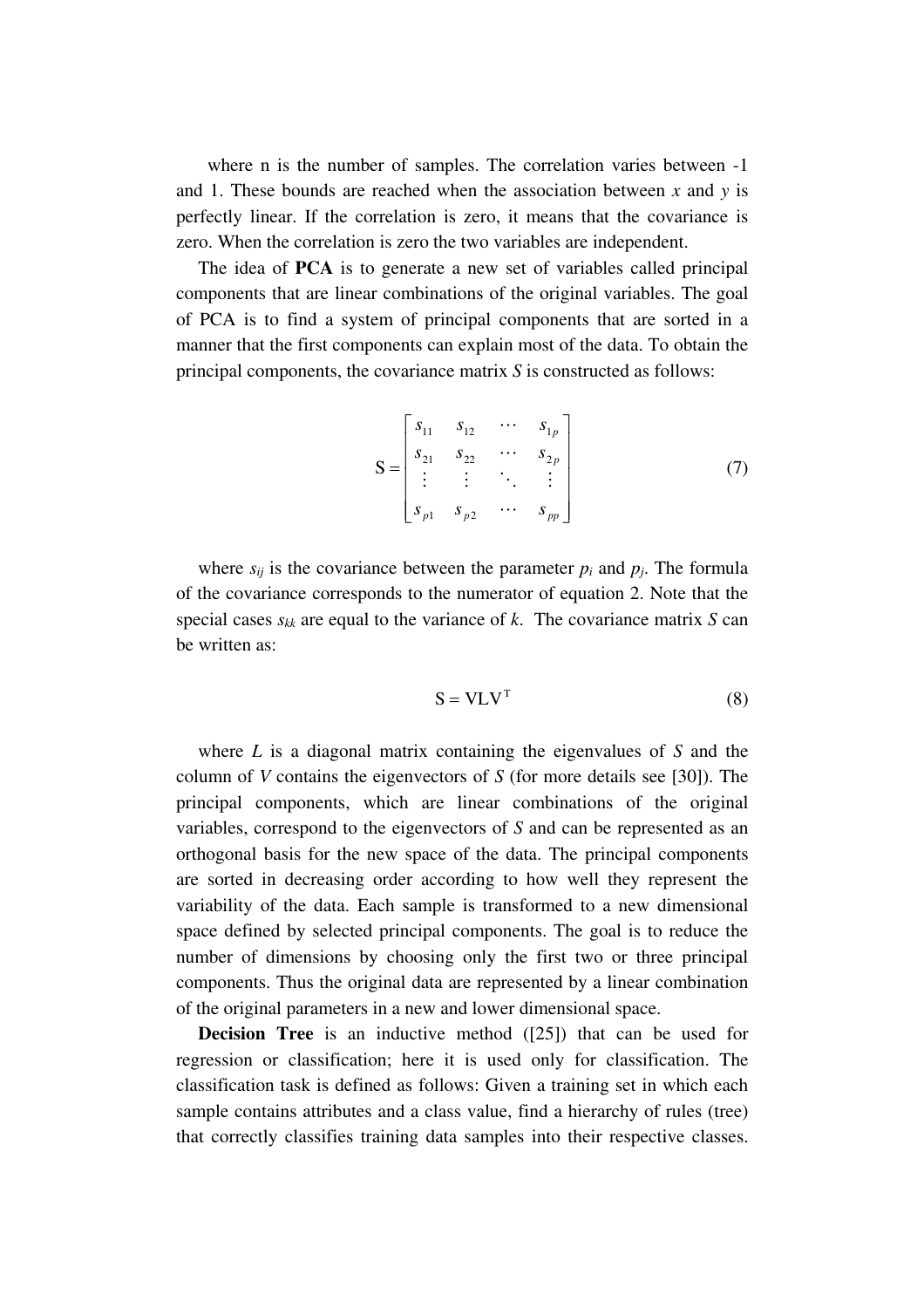where n is the number of samples. The correlation varies between -1 and 1. These bounds are reached when the association between *x* and *y* is perfectly linear. If the correlation is zero, it means that the covariance is zero. When the correlation is zero the two variables are independent.

The idea of **PCA** is to generate a new set of variables called principal components that are linear combinations of the original variables. The goal of PCA is to find a system of principal components that are sorted in a manner that the first components can explain most of the data. To obtain the principal components, the covariance matrix *S* is constructed as follows:

$$
S = \begin{bmatrix} s_{11} & s_{12} & \cdots & s_{1p} \\ s_{21} & s_{22} & \cdots & s_{2p} \\ \vdots & \vdots & \ddots & \vdots \\ s_{p1} & s_{p2} & \cdots & s_{pp} \end{bmatrix}
$$
(7)

where  $s_{ij}$  is the covariance between the parameter  $p_i$  and  $p_j$ . The formula of the covariance corresponds to the numerator of equation 2. Note that the special cases  $s_{kk}$  are equal to the variance of *k*. The covariance matrix *S* can be written as:

$$
S = V L VT
$$
 (8)

where *L* is a diagonal matrix containing the eigenvalues of *S* and the column of *V* contains the eigenvectors of *S* (for more details see [30]). The principal components, which are linear combinations of the original variables, correspond to the eigenvectors of *S* and can be represented as an orthogonal basis for the new space of the data. The principal components are sorted in decreasing order according to how well they represent the variability of the data. Each sample is transformed to a new dimensional space defined by selected principal components. The goal is to reduce the number of dimensions by choosing only the first two or three principal components. Thus the original data are represented by a linear combination of the original parameters in a new and lower dimensional space.

**Decision Tree** is an inductive method ([25]) that can be used for regression or classification; here it is used only for classification. The classification task is defined as follows: Given a training set in which each sample contains attributes and a class value, find a hierarchy of rules (tree) that correctly classifies training data samples into their respective classes.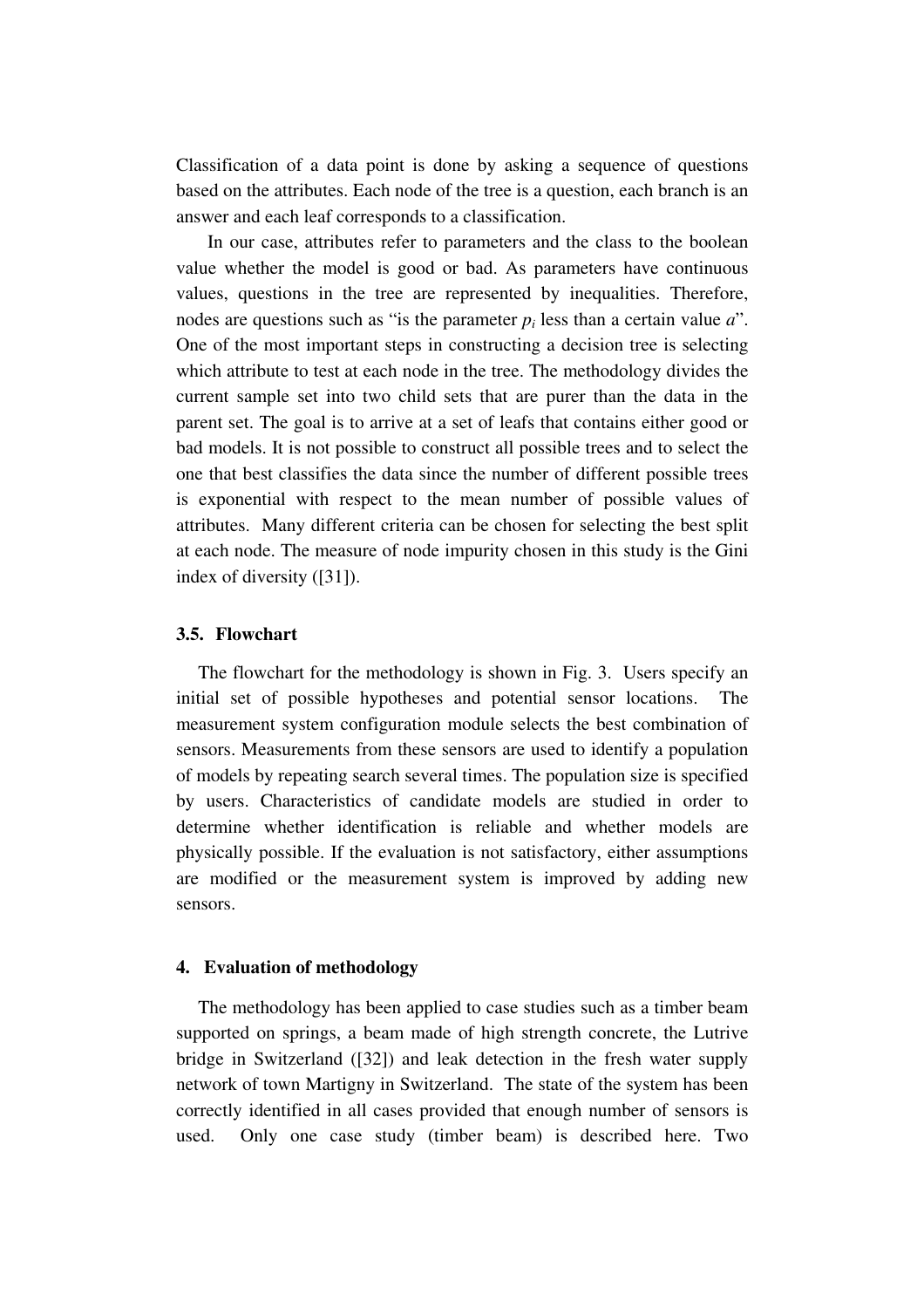Classification of a data point is done by asking a sequence of questions based on the attributes. Each node of the tree is a question, each branch is an answer and each leaf corresponds to a classification.

 In our case, attributes refer to parameters and the class to the boolean value whether the model is good or bad. As parameters have continuous values, questions in the tree are represented by inequalities. Therefore, nodes are questions such as "is the parameter  $p_i$  less than a certain value  $a$ ". One of the most important steps in constructing a decision tree is selecting which attribute to test at each node in the tree. The methodology divides the current sample set into two child sets that are purer than the data in the parent set. The goal is to arrive at a set of leafs that contains either good or bad models. It is not possible to construct all possible trees and to select the one that best classifies the data since the number of different possible trees is exponential with respect to the mean number of possible values of attributes. Many different criteria can be chosen for selecting the best split at each node. The measure of node impurity chosen in this study is the Gini index of diversity ([31]).

# **3.5. Flowchart**

The flowchart for the methodology is shown in Fig. 3. Users specify an initial set of possible hypotheses and potential sensor locations. The measurement system configuration module selects the best combination of sensors. Measurements from these sensors are used to identify a population of models by repeating search several times. The population size is specified by users. Characteristics of candidate models are studied in order to determine whether identification is reliable and whether models are physically possible. If the evaluation is not satisfactory, either assumptions are modified or the measurement system is improved by adding new sensors.

#### **4. Evaluation of methodology**

The methodology has been applied to case studies such as a timber beam supported on springs, a beam made of high strength concrete, the Lutrive bridge in Switzerland ([32]) and leak detection in the fresh water supply network of town Martigny in Switzerland. The state of the system has been correctly identified in all cases provided that enough number of sensors is used. Only one case study (timber beam) is described here. Two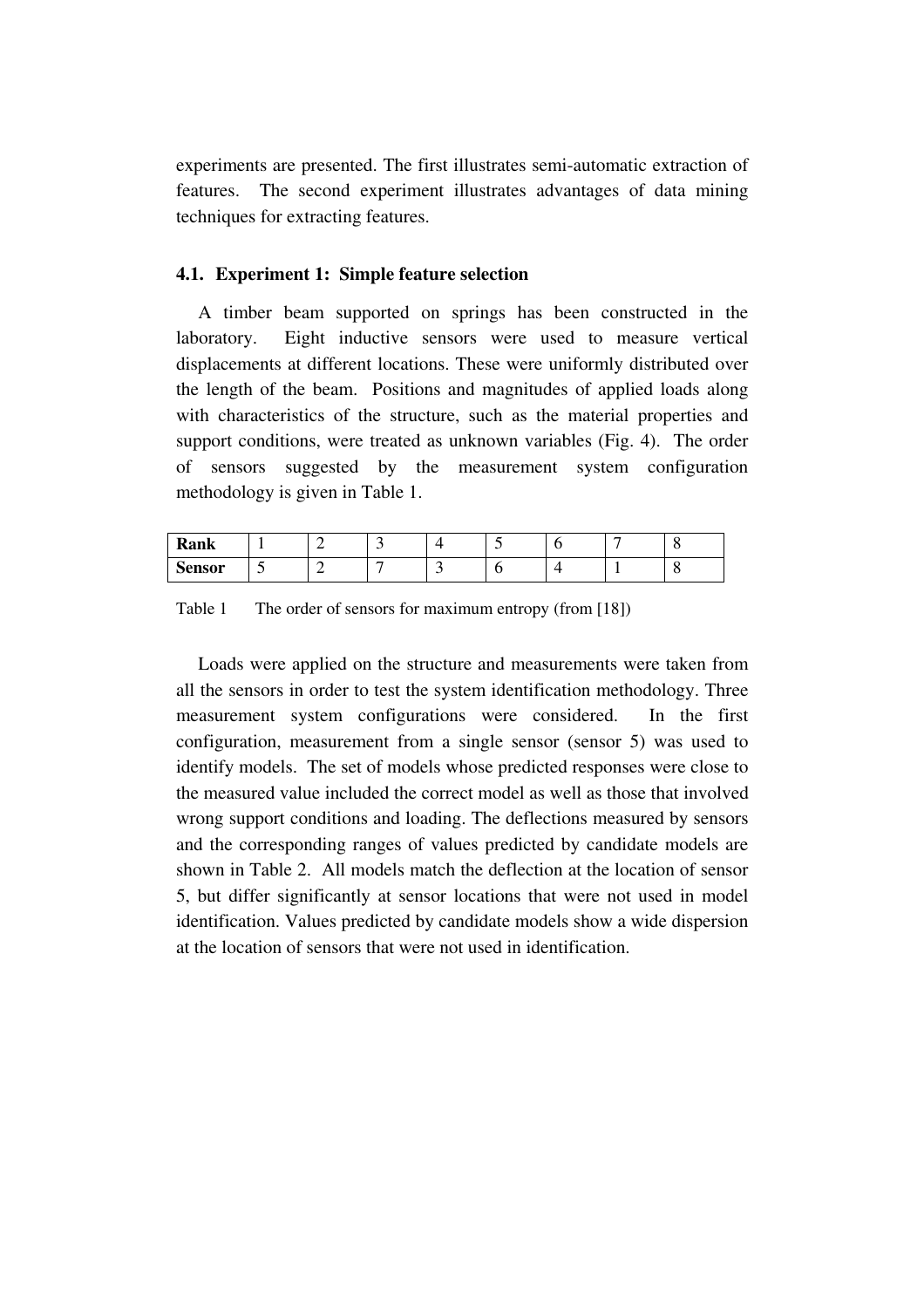experiments are presented. The first illustrates semi-automatic extraction of features. The second experiment illustrates advantages of data mining techniques for extracting features.

# **4.1. Experiment 1: Simple feature selection**

A timber beam supported on springs has been constructed in the laboratory. Eight inductive sensors were used to measure vertical displacements at different locations. These were uniformly distributed over the length of the beam. Positions and magnitudes of applied loads along with characteristics of the structure, such as the material properties and support conditions, were treated as unknown variables (Fig. 4). The order of sensors suggested by the measurement system configuration methodology is given in Table 1.

| <b>Rank</b>   |     | . . |     |   | ∼ | - | . . |
|---------------|-----|-----|-----|---|---|---|-----|
| <b>Sensor</b> | . . | -   | . . | ∼ |   |   | . . |

Table 1 The order of sensors for maximum entropy (from [18])

Loads were applied on the structure and measurements were taken from all the sensors in order to test the system identification methodology. Three measurement system configurations were considered. In the first configuration, measurement from a single sensor (sensor 5) was used to identify models. The set of models whose predicted responses were close to the measured value included the correct model as well as those that involved wrong support conditions and loading. The deflections measured by sensors and the corresponding ranges of values predicted by candidate models are shown in Table 2. All models match the deflection at the location of sensor 5, but differ significantly at sensor locations that were not used in model identification. Values predicted by candidate models show a wide dispersion at the location of sensors that were not used in identification.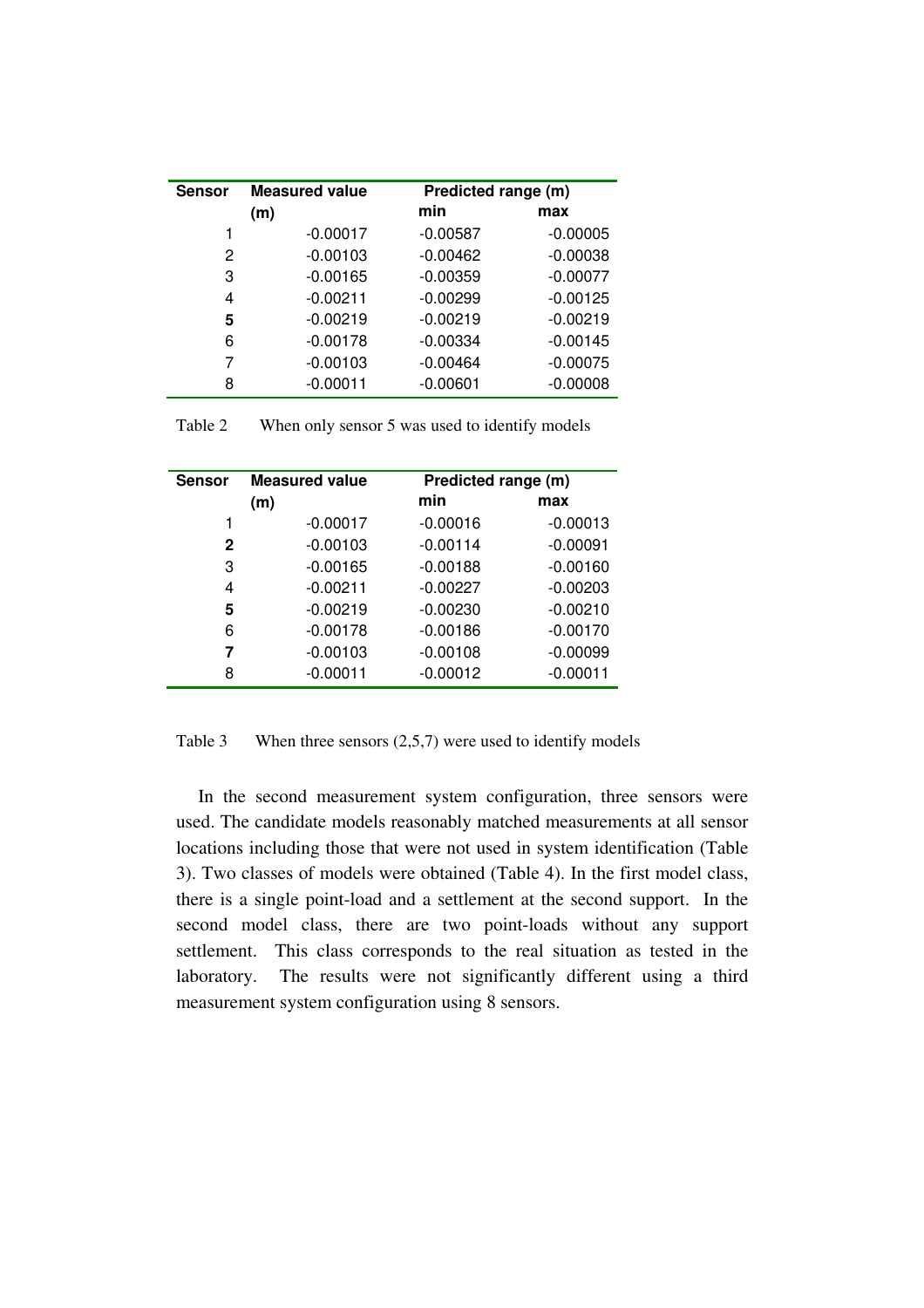| <b>Sensor</b> | <b>Measured value</b> |            | Predicted range (m) |
|---------------|-----------------------|------------|---------------------|
|               | (m)                   | min        | max                 |
|               | $-0.00017$            | $-0.00587$ | $-0.00005$          |
| 2             | $-0.00103$            | $-0.00462$ | $-0.00038$          |
| 3             | $-0.00165$            | $-0.00359$ | $-0.00077$          |
| 4             | $-0.00211$            | $-0.00299$ | $-0.00125$          |
| 5             | $-0.00219$            | $-0.00219$ | $-0.00219$          |
| 6             | $-0.00178$            | $-0.00334$ | $-0.00145$          |
| 7             | $-0.00103$            | $-0.00464$ | $-0.00075$          |
| 8             | $-0.00011$            | $-0.00601$ | $-0.00008$          |

Table 2 When only sensor 5 was used to identify models

| <b>Sensor</b> | <b>Measured value</b> | Predicted range (m) |            |  |  |
|---------------|-----------------------|---------------------|------------|--|--|
|               | (m)                   | min                 | max        |  |  |
|               | $-0.00017$            | $-0.00016$          | $-0.00013$ |  |  |
| 2             | $-0.00103$            | $-0.00114$          | $-0.00091$ |  |  |
| 3             | $-0.00165$            | $-0.00188$          | $-0.00160$ |  |  |
| 4             | $-0.00211$            | $-0.00227$          | $-0.00203$ |  |  |
| 5             | $-0.00219$            | $-0.00230$          | $-0.00210$ |  |  |
| 6             | $-0.00178$            | $-0.00186$          | $-0.00170$ |  |  |
| 7             | $-0.00103$            | $-0.00108$          | $-0.00099$ |  |  |
| 8             | $-0.00011$            | $-0.00012$          | $-0.00011$ |  |  |

Table 3 When three sensors (2,5,7) were used to identify models

In the second measurement system configuration, three sensors were used. The candidate models reasonably matched measurements at all sensor locations including those that were not used in system identification (Table 3). Two classes of models were obtained (Table 4). In the first model class, there is a single point-load and a settlement at the second support. In the second model class, there are two point-loads without any support settlement. This class corresponds to the real situation as tested in the laboratory. The results were not significantly different using a third measurement system configuration using 8 sensors.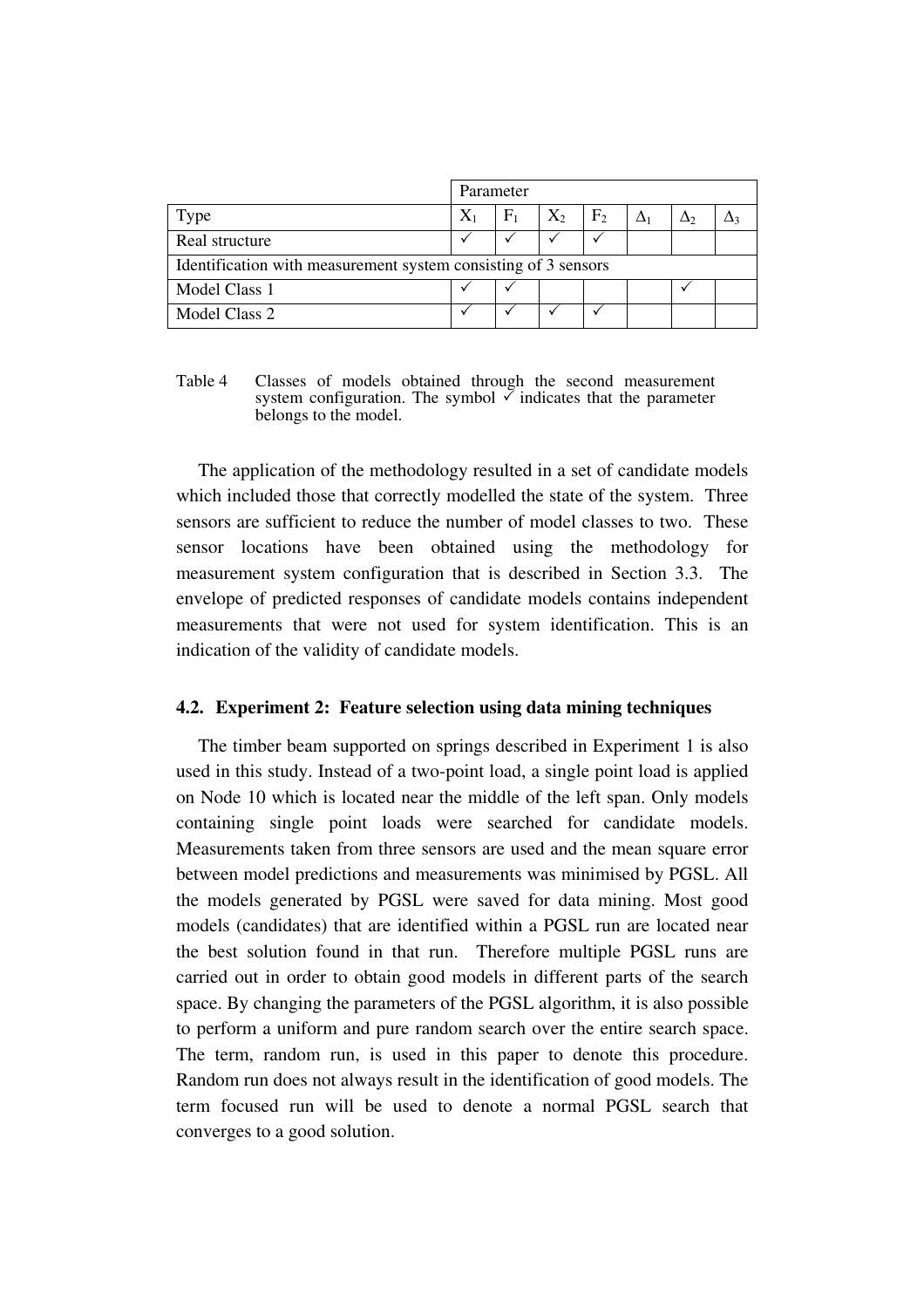|                                                                | Parameter |                |       |                |            |    |  |
|----------------------------------------------------------------|-----------|----------------|-------|----------------|------------|----|--|
| Type                                                           |           | F <sub>1</sub> | $X_2$ | F <sub>2</sub> | $\Delta_1$ | Δэ |  |
| Real structure                                                 |           |                |       |                |            |    |  |
| Identification with measurement system consisting of 3 sensors |           |                |       |                |            |    |  |
| Model Class 1                                                  |           |                |       |                |            |    |  |
| Model Class 2                                                  |           |                |       |                |            |    |  |

Table 4 Classes of models obtained through the second measurement system configuration. The symbol  $\check{\checkmark}$  indicates that the parameter belongs to the model.

The application of the methodology resulted in a set of candidate models which included those that correctly modelled the state of the system. Three sensors are sufficient to reduce the number of model classes to two. These sensor locations have been obtained using the methodology for measurement system configuration that is described in Section 3.3. The envelope of predicted responses of candidate models contains independent measurements that were not used for system identification. This is an indication of the validity of candidate models.

# **4.2. Experiment 2: Feature selection using data mining techniques**

The timber beam supported on springs described in Experiment 1 is also used in this study. Instead of a two-point load, a single point load is applied on Node 10 which is located near the middle of the left span. Only models containing single point loads were searched for candidate models. Measurements taken from three sensors are used and the mean square error between model predictions and measurements was minimised by PGSL. All the models generated by PGSL were saved for data mining. Most good models (candidates) that are identified within a PGSL run are located near the best solution found in that run. Therefore multiple PGSL runs are carried out in order to obtain good models in different parts of the search space. By changing the parameters of the PGSL algorithm, it is also possible to perform a uniform and pure random search over the entire search space. The term, random run, is used in this paper to denote this procedure. Random run does not always result in the identification of good models. The term focused run will be used to denote a normal PGSL search that converges to a good solution.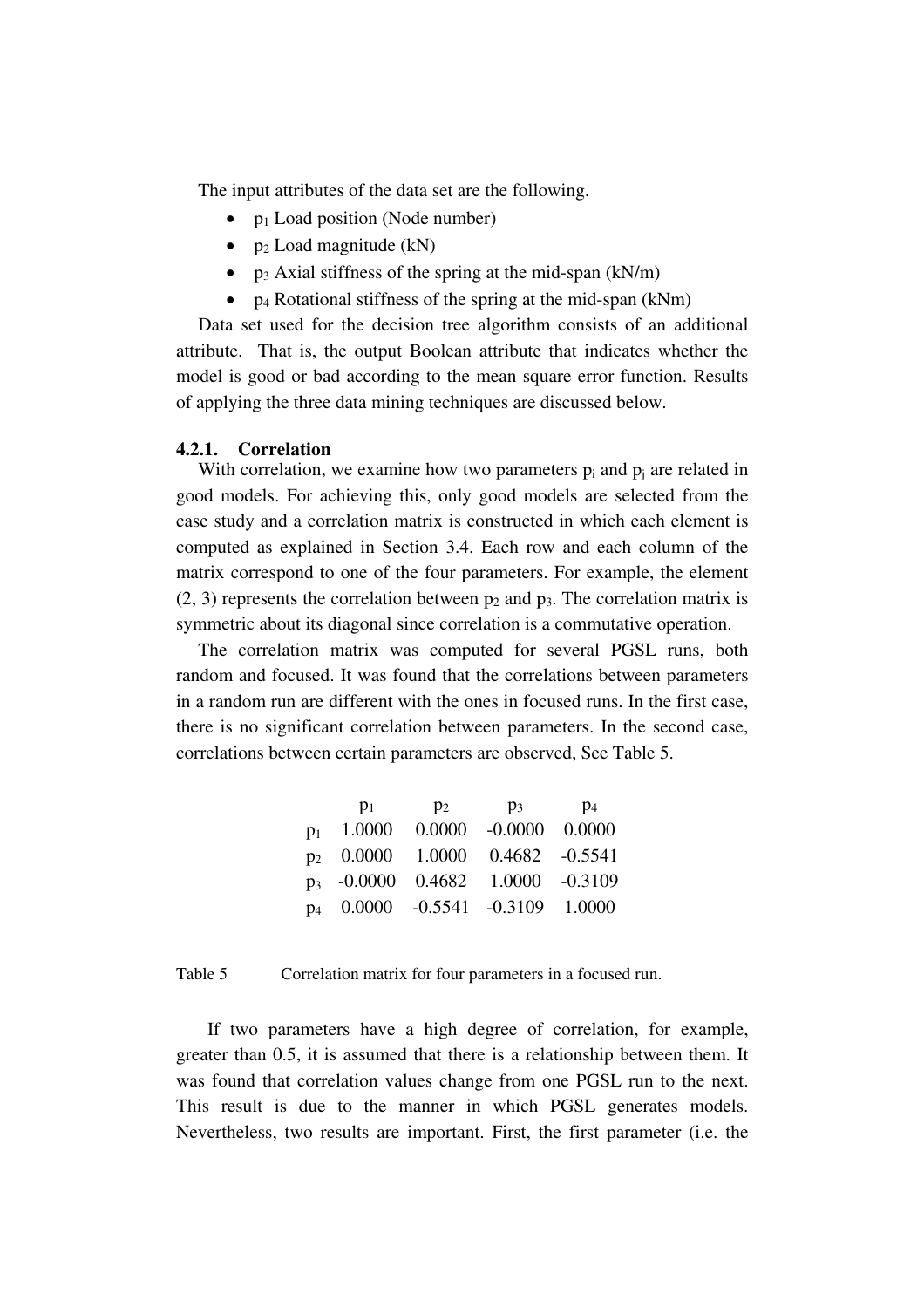The input attributes of the data set are the following.

- $p_1$  Load position (Node number)
- $p_2$  Load magnitude (kN)
- $p_3$  Axial stiffness of the spring at the mid-span (kN/m)
- $p_4$  Rotational stiffness of the spring at the mid-span (kNm)

Data set used for the decision tree algorithm consists of an additional attribute. That is, the output Boolean attribute that indicates whether the model is good or bad according to the mean square error function. Results of applying the three data mining techniques are discussed below.

### **4.2.1. Correlation**

With correlation, we examine how two parameters  $p_i$  and  $p_j$  are related in good models. For achieving this, only good models are selected from the case study and a correlation matrix is constructed in which each element is computed as explained in Section 3.4. Each row and each column of the matrix correspond to one of the four parameters. For example, the element  $(2, 3)$  represents the correlation between  $p_2$  and  $p_3$ . The correlation matrix is symmetric about its diagonal since correlation is a commutative operation.

The correlation matrix was computed for several PGSL runs, both random and focused. It was found that the correlations between parameters in a random run are different with the ones in focused runs. In the first case, there is no significant correlation between parameters. In the second case, correlations between certain parameters are observed, See Table 5.

|                | $p_1$  | $p_2$ | $p_3$                                 | $\mathfrak{p}_4$ |
|----------------|--------|-------|---------------------------------------|------------------|
| $\mathbf{D}_1$ | 1.0000 |       | $0.0000 - 0.0000 0.0000$              |                  |
| $p_2$          |        |       | $0.0000$ $1.0000$ $0.4682$ $-0.5541$  |                  |
|                |        |       | $p_3$ -0.0000 0.4682 1.0000 -0.3109   |                  |
| $p_4$          |        |       | $0.0000$ $-0.5541$ $-0.3109$ $1.0000$ |                  |

### Table 5 Correlation matrix for four parameters in a focused run.

 If two parameters have a high degree of correlation, for example, greater than 0.5, it is assumed that there is a relationship between them. It was found that correlation values change from one PGSL run to the next. This result is due to the manner in which PGSL generates models. Nevertheless, two results are important. First, the first parameter (i.e. the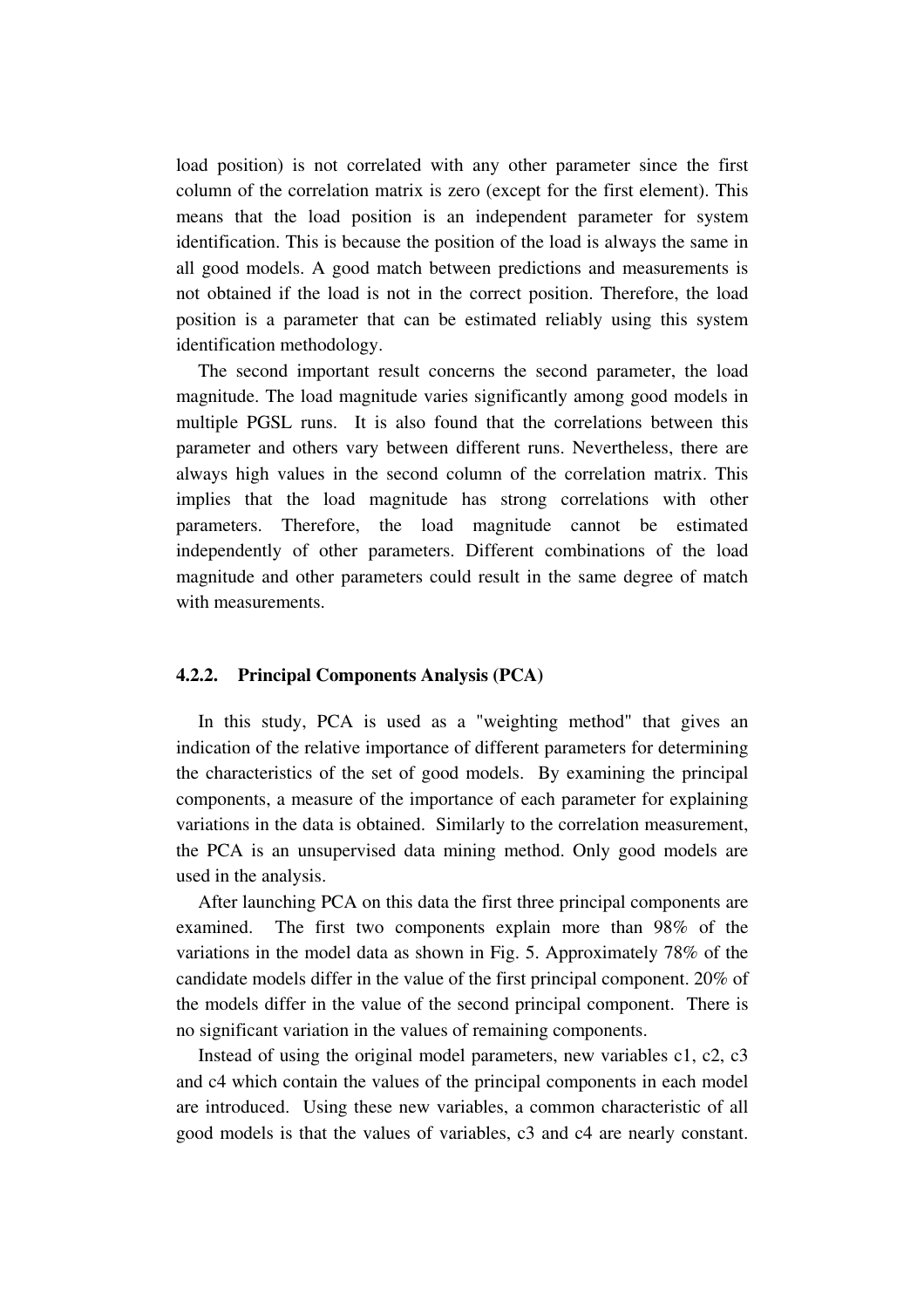load position) is not correlated with any other parameter since the first column of the correlation matrix is zero (except for the first element). This means that the load position is an independent parameter for system identification. This is because the position of the load is always the same in all good models. A good match between predictions and measurements is not obtained if the load is not in the correct position. Therefore, the load position is a parameter that can be estimated reliably using this system identification methodology.

The second important result concerns the second parameter, the load magnitude. The load magnitude varies significantly among good models in multiple PGSL runs. It is also found that the correlations between this parameter and others vary between different runs. Nevertheless, there are always high values in the second column of the correlation matrix. This implies that the load magnitude has strong correlations with other parameters. Therefore, the load magnitude cannot be estimated independently of other parameters. Different combinations of the load magnitude and other parameters could result in the same degree of match with measurements.

# **4.2.2. Principal Components Analysis (PCA)**

In this study, PCA is used as a "weighting method" that gives an indication of the relative importance of different parameters for determining the characteristics of the set of good models. By examining the principal components, a measure of the importance of each parameter for explaining variations in the data is obtained. Similarly to the correlation measurement, the PCA is an unsupervised data mining method. Only good models are used in the analysis.

After launching PCA on this data the first three principal components are examined. The first two components explain more than 98% of the variations in the model data as shown in Fig. 5. Approximately 78% of the candidate models differ in the value of the first principal component. 20% of the models differ in the value of the second principal component. There is no significant variation in the values of remaining components.

Instead of using the original model parameters, new variables c1, c2, c3 and c4 which contain the values of the principal components in each model are introduced. Using these new variables, a common characteristic of all good models is that the values of variables, c3 and c4 are nearly constant.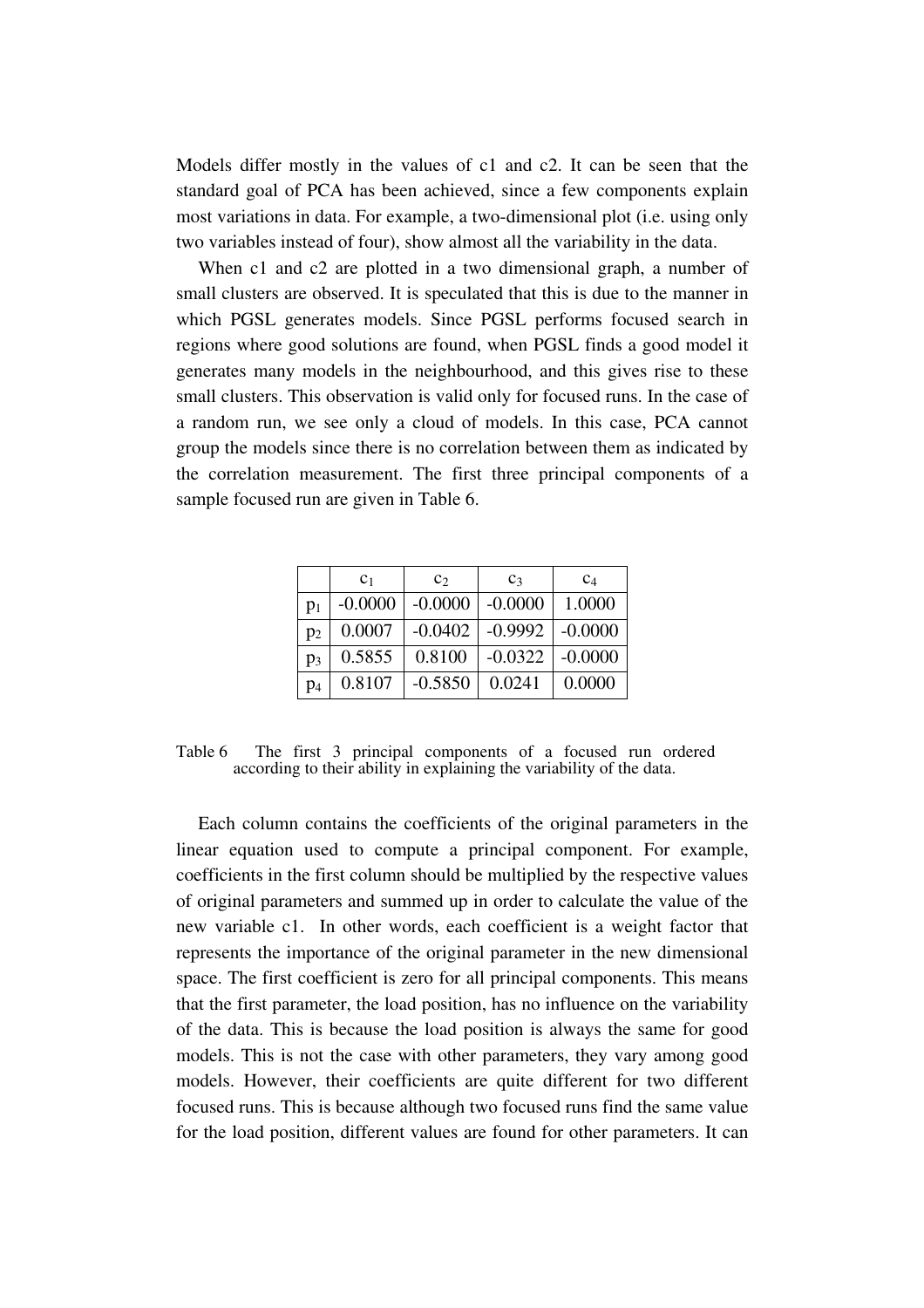Models differ mostly in the values of c1 and c2. It can be seen that the standard goal of PCA has been achieved, since a few components explain most variations in data. For example, a two-dimensional plot (i.e. using only two variables instead of four), show almost all the variability in the data.

When c1 and c2 are plotted in a two dimensional graph, a number of small clusters are observed. It is speculated that this is due to the manner in which PGSL generates models. Since PGSL performs focused search in regions where good solutions are found, when PGSL finds a good model it generates many models in the neighbourhood, and this gives rise to these small clusters. This observation is valid only for focused runs. In the case of a random run, we see only a cloud of models. In this case, PCA cannot group the models since there is no correlation between them as indicated by the correlation measurement. The first three principal components of a sample focused run are given in Table 6.

|                  | C <sub>1</sub> | $C_{2}$   | $C_3$     | $C_4$     |
|------------------|----------------|-----------|-----------|-----------|
| $\mathfrak{p}_1$ | $-0.0000$      | $-0.0000$ | $-0.0000$ | 1.0000    |
| $p_2$            | 0.0007         | $-0.0402$ | $-0.9992$ | $-0.0000$ |
| p <sub>3</sub>   | 0.5855         | 0.8100    | $-0.0322$ | $-0.0000$ |
| $p_4$            | 0.8107         | $-0.5850$ | 0.0241    | 0.0000    |

Table 6 The first 3 principal components of a focused run ordered according to their ability in explaining the variability of the data.

Each column contains the coefficients of the original parameters in the linear equation used to compute a principal component. For example, coefficients in the first column should be multiplied by the respective values of original parameters and summed up in order to calculate the value of the new variable c1. In other words, each coefficient is a weight factor that represents the importance of the original parameter in the new dimensional space. The first coefficient is zero for all principal components. This means that the first parameter, the load position, has no influence on the variability of the data. This is because the load position is always the same for good models. This is not the case with other parameters, they vary among good models. However, their coefficients are quite different for two different focused runs. This is because although two focused runs find the same value for the load position, different values are found for other parameters. It can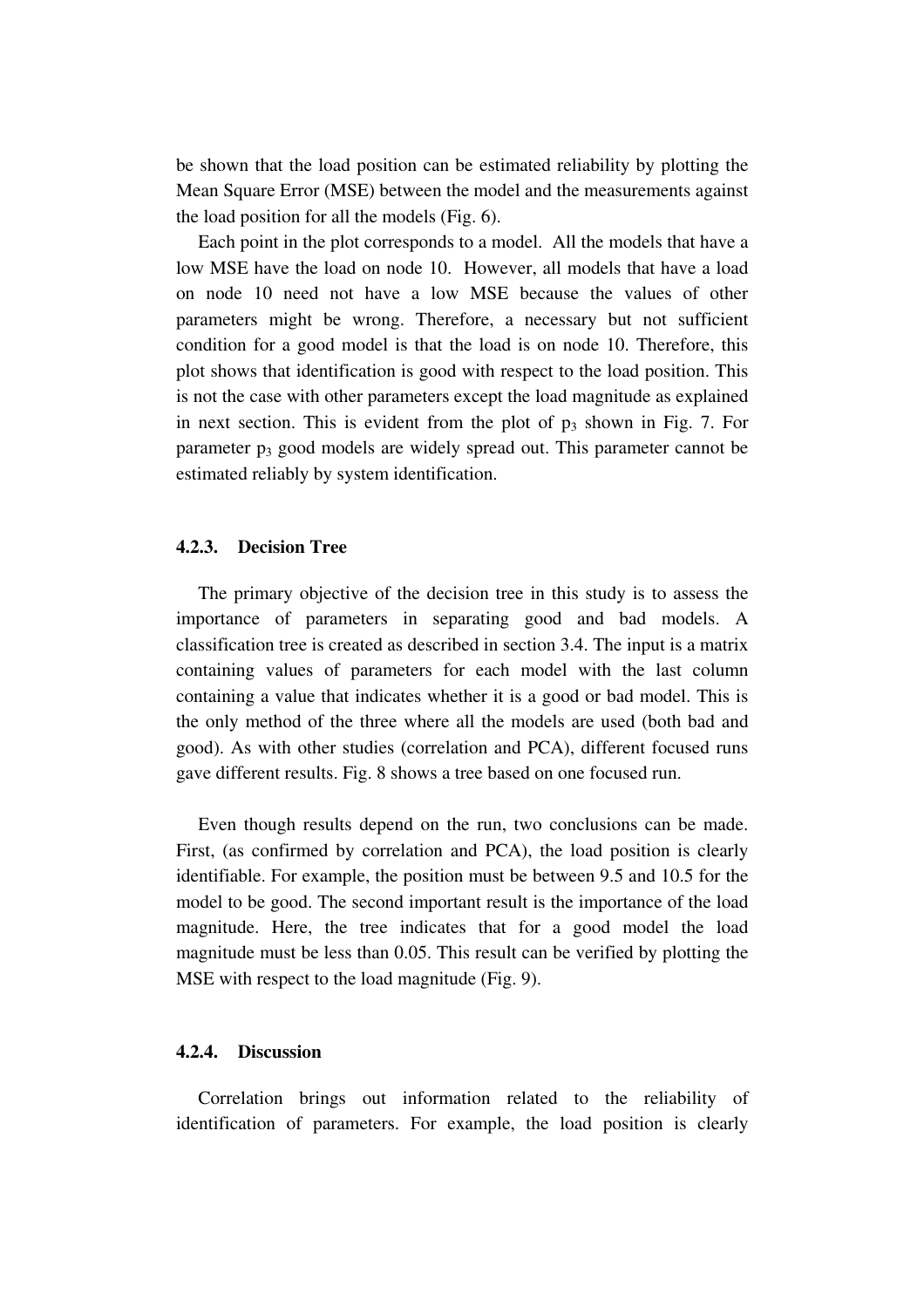be shown that the load position can be estimated reliability by plotting the Mean Square Error (MSE) between the model and the measurements against the load position for all the models (Fig. 6).

Each point in the plot corresponds to a model. All the models that have a low MSE have the load on node 10. However, all models that have a load on node 10 need not have a low MSE because the values of other parameters might be wrong. Therefore, a necessary but not sufficient condition for a good model is that the load is on node 10. Therefore, this plot shows that identification is good with respect to the load position. This is not the case with other parameters except the load magnitude as explained in next section. This is evident from the plot of  $p_3$  shown in Fig. 7. For parameter  $p_3$  good models are widely spread out. This parameter cannot be estimated reliably by system identification.

# **4.2.3. Decision Tree**

The primary objective of the decision tree in this study is to assess the importance of parameters in separating good and bad models. A classification tree is created as described in section 3.4. The input is a matrix containing values of parameters for each model with the last column containing a value that indicates whether it is a good or bad model. This is the only method of the three where all the models are used (both bad and good). As with other studies (correlation and PCA), different focused runs gave different results. Fig. 8 shows a tree based on one focused run.

Even though results depend on the run, two conclusions can be made. First, (as confirmed by correlation and PCA), the load position is clearly identifiable. For example, the position must be between 9.5 and 10.5 for the model to be good. The second important result is the importance of the load magnitude. Here, the tree indicates that for a good model the load magnitude must be less than 0.05. This result can be verified by plotting the MSE with respect to the load magnitude (Fig. 9).

# **4.2.4. Discussion**

Correlation brings out information related to the reliability of identification of parameters. For example, the load position is clearly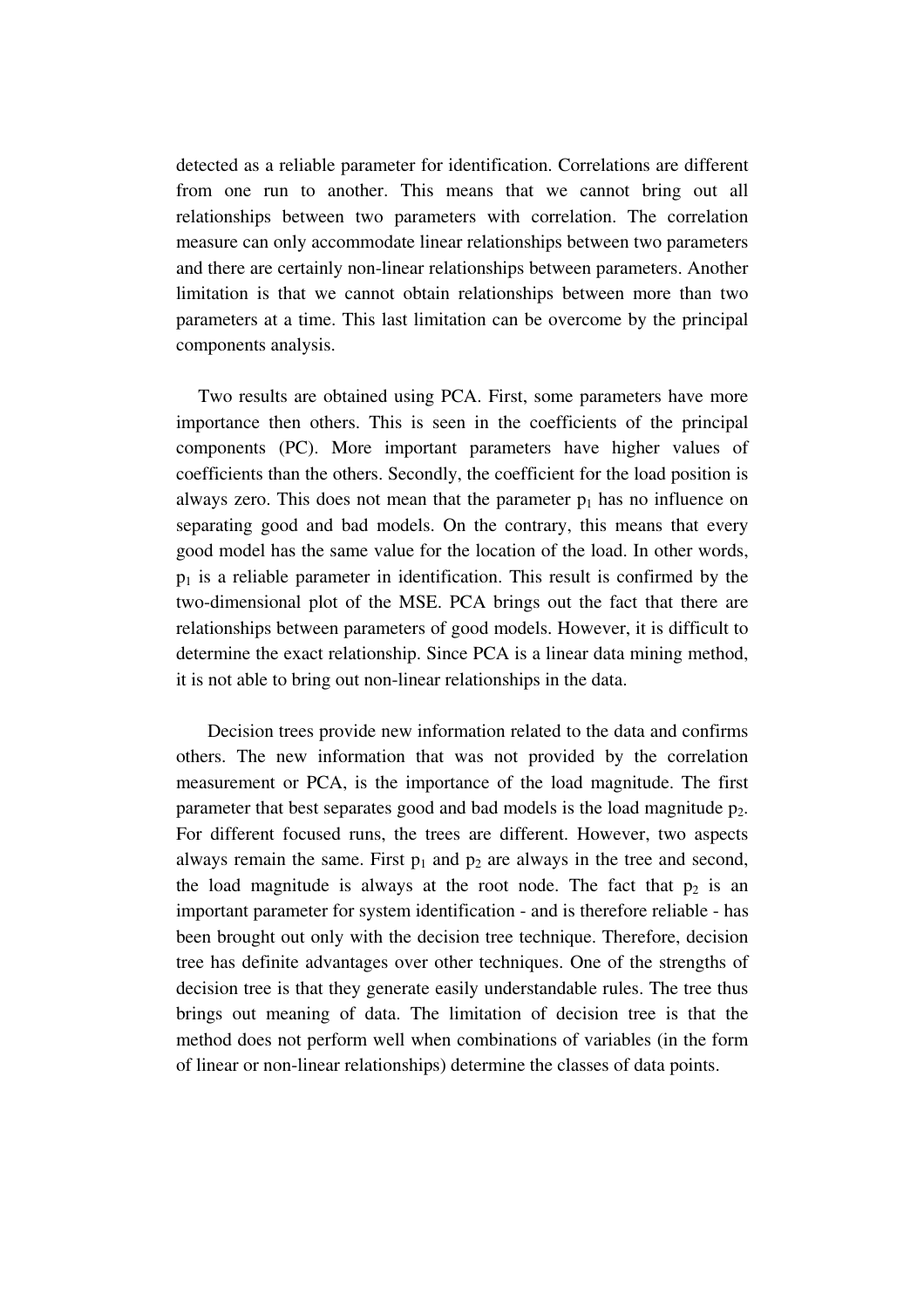detected as a reliable parameter for identification. Correlations are different from one run to another. This means that we cannot bring out all relationships between two parameters with correlation. The correlation measure can only accommodate linear relationships between two parameters and there are certainly non-linear relationships between parameters. Another limitation is that we cannot obtain relationships between more than two parameters at a time. This last limitation can be overcome by the principal components analysis.

Two results are obtained using PCA. First, some parameters have more importance then others. This is seen in the coefficients of the principal components (PC). More important parameters have higher values of coefficients than the others. Secondly, the coefficient for the load position is always zero. This does not mean that the parameter  $p_1$  has no influence on separating good and bad models. On the contrary, this means that every good model has the same value for the location of the load. In other words,  $p_1$  is a reliable parameter in identification. This result is confirmed by the two-dimensional plot of the MSE. PCA brings out the fact that there are relationships between parameters of good models. However, it is difficult to determine the exact relationship. Since PCA is a linear data mining method, it is not able to bring out non-linear relationships in the data.

 Decision trees provide new information related to the data and confirms others. The new information that was not provided by the correlation measurement or PCA, is the importance of the load magnitude. The first parameter that best separates good and bad models is the load magnitude  $p_2$ . For different focused runs, the trees are different. However, two aspects always remain the same. First  $p_1$  and  $p_2$  are always in the tree and second, the load magnitude is always at the root node. The fact that  $p_2$  is an important parameter for system identification - and is therefore reliable - has been brought out only with the decision tree technique. Therefore, decision tree has definite advantages over other techniques. One of the strengths of decision tree is that they generate easily understandable rules. The tree thus brings out meaning of data. The limitation of decision tree is that the method does not perform well when combinations of variables (in the form of linear or non-linear relationships) determine the classes of data points.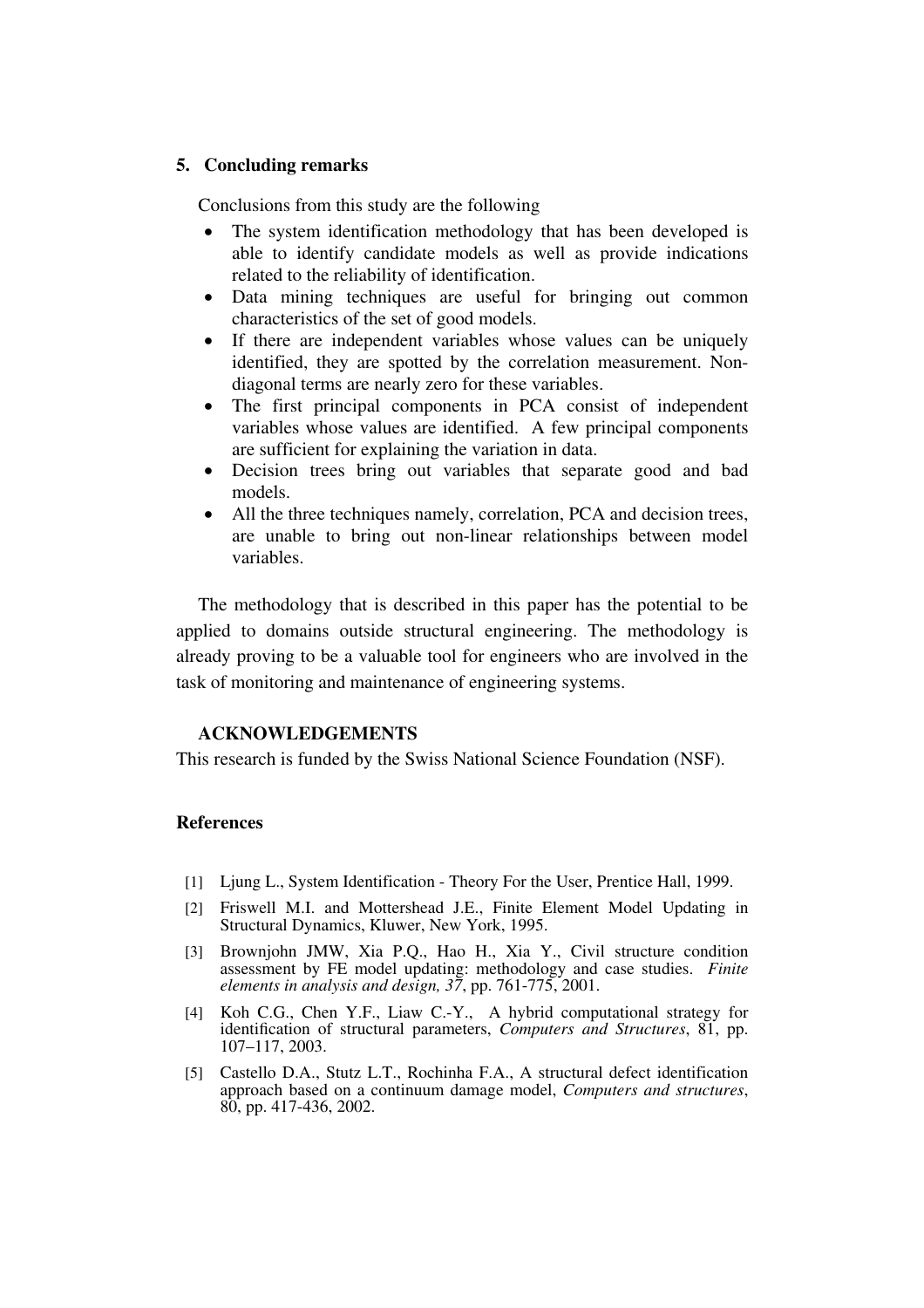# **5. Concluding remarks**

Conclusions from this study are the following

- The system identification methodology that has been developed is able to identify candidate models as well as provide indications related to the reliability of identification.
- Data mining techniques are useful for bringing out common characteristics of the set of good models.
- If there are independent variables whose values can be uniquely identified, they are spotted by the correlation measurement. Nondiagonal terms are nearly zero for these variables.
- The first principal components in PCA consist of independent variables whose values are identified. A few principal components are sufficient for explaining the variation in data.
- Decision trees bring out variables that separate good and bad models.
- All the three techniques namely, correlation, PCA and decision trees, are unable to bring out non-linear relationships between model variables.

The methodology that is described in this paper has the potential to be applied to domains outside structural engineering. The methodology is already proving to be a valuable tool for engineers who are involved in the task of monitoring and maintenance of engineering systems.

# **ACKNOWLEDGEMENTS**

This research is funded by the Swiss National Science Foundation (NSF).

# **References**

- [1] Ljung L., System Identification Theory For the User, Prentice Hall, 1999.
- [2] Friswell M.I. and Mottershead J.E., Finite Element Model Updating in Structural Dynamics, Kluwer, New York, 1995.
- [3] Brownjohn JMW, Xia P.Q., Hao H., Xia Y., Civil structure condition assessment by FE model updating: methodology and case studies. *Finite elements in analysis and design, 37*, pp. 761-775, 2001.
- [4] Koh C.G., Chen Y.F., Liaw C.-Y., A hybrid computational strategy for identification of structural parameters, *Computers and Structures*, 81, pp. 107–117, 2003.
- [5] Castello D.A., Stutz L.T., Rochinha F.A., A structural defect identification approach based on a continuum damage model, *Computers and structures*, 80, pp. 417-436, 2002.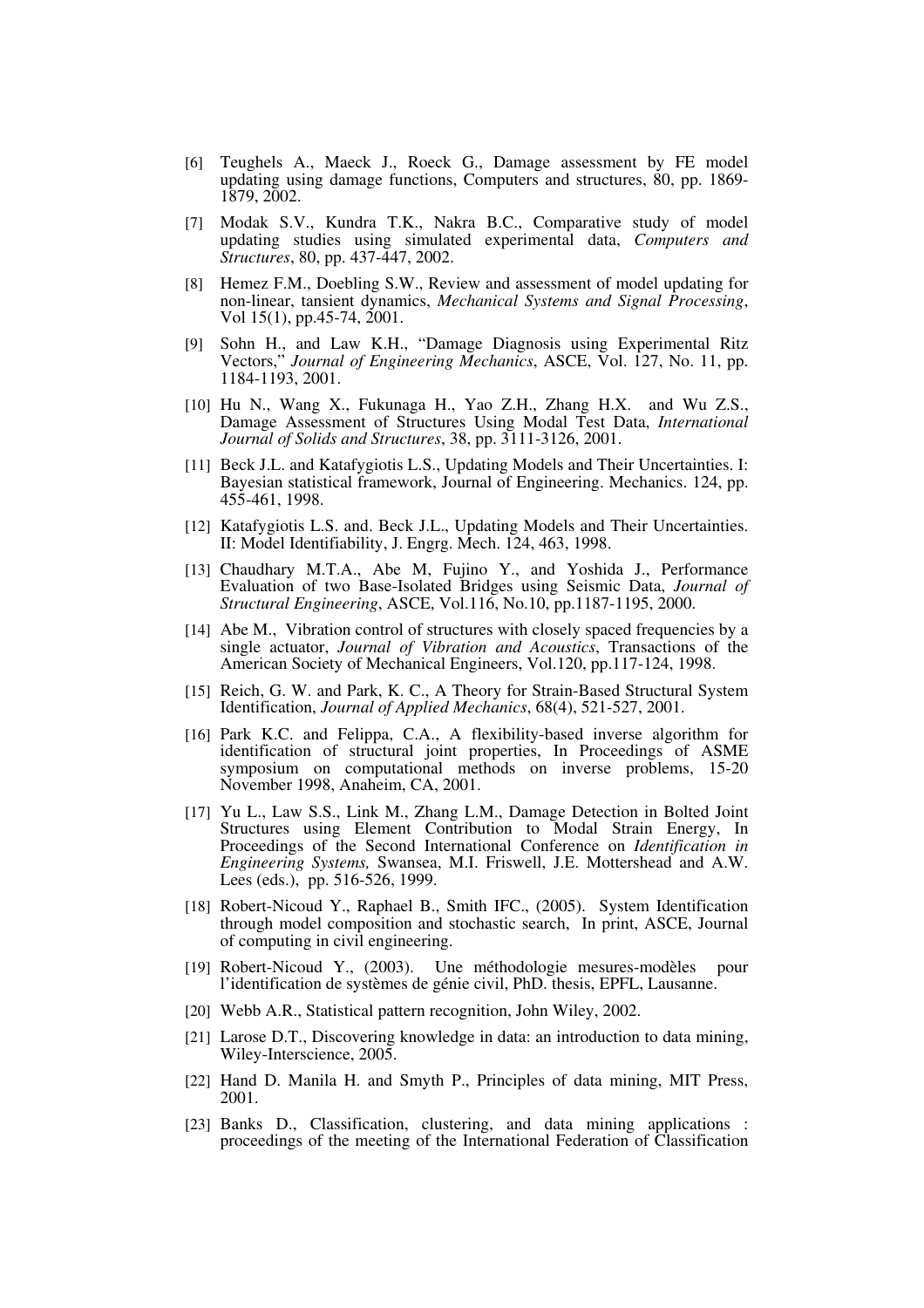- [6] Teughels A., Maeck J., Roeck G., Damage assessment by FE model updating using damage functions, Computers and structures, 80, pp. 1869- 1879, 2002.
- [7] Modak S.V., Kundra T.K., Nakra B.C., Comparative study of model updating studies using simulated experimental data, *Computers and Structures*, 80, pp. 437-447, 2002.
- [8] Hemez F.M., Doebling S.W., Review and assessment of model updating for non-linear, tansient dynamics, *Mechanical Systems and Signal Processing*, Vol 15(1), pp.45-74, 2001.
- [9] Sohn H., and Law K.H., "Damage Diagnosis using Experimental Ritz Vectors," *Journal of Engineering Mechanics*, ASCE, Vol. 127, No. 11, pp. 1184-1193, 2001.
- [10] Hu N., Wang X., Fukunaga H., Yao Z.H., Zhang H.X. and Wu Z.S., Damage Assessment of Structures Using Modal Test Data, *International Journal of Solids and Structures*, 38, pp. 3111-3126, 2001.
- [11] Beck J.L. and Katafygiotis L.S., Updating Models and Their Uncertainties. I: Bayesian statistical framework, Journal of Engineering. Mechanics. 124, pp. 455-461, 1998.
- [12] Katafygiotis L.S. and. Beck J.L., Updating Models and Their Uncertainties. II: Model Identifiability, J. Engrg. Mech. 124, 463, 1998.
- [13] Chaudhary M.T.A., Abe M, Fujino Y., and Yoshida J., Performance Evaluation of two Base-Isolated Bridges using Seismic Data, *Journal of Structural Engineering*, ASCE, Vol.116, No.10, pp.1187-1195, 2000.
- [14] Abe M., Vibration control of structures with closely spaced frequencies by a single actuator, *Journal of Vibration and Acoustics*, Transactions of the American Society of Mechanical Engineers, Vol.120, pp.117-124, 1998.
- [15] Reich, G. W. and Park, K. C., A Theory for Strain-Based Structural System Identification, *Journal of Applied Mechanics*, 68(4), 521-527, 2001.
- [16] Park K.C. and Felippa, C.A., A flexibility-based inverse algorithm for identification of structural joint properties, In Proceedings of ASME symposium on computational methods on inverse problems, 15-20 November 1998, Anaheim, CA, 2001.
- [17] Yu L., Law S.S., Link M., Zhang L.M., Damage Detection in Bolted Joint Structures using Element Contribution to Modal Strain Energy, In Proceedings of the Second International Conference on *Identification in Engineering Systems,* Swansea, M.I. Friswell, J.E. Mottershead and A.W. Lees (eds.), pp. 516-526, 1999.
- [18] Robert-Nicoud Y., Raphael B., Smith IFC., (2005). System Identification through model composition and stochastic search, In print, ASCE, Journal of computing in civil engineering.
- [19] Robert-Nicoud Y., (2003). Une méthodologie mesures-modèles pour l'identification de systèmes de génie civil, PhD. thesis, EPFL, Lausanne.
- [20] Webb A.R., Statistical pattern recognition, John Wiley, 2002.
- [21] Larose D.T., Discovering knowledge in data: an introduction to data mining, Wiley-Interscience, 2005.
- [22] Hand D. Manila H. and Smyth P., Principles of data mining, MIT Press, 2001.
- [23] Banks D., Classification, clustering, and data mining applications : proceedings of the meeting of the International Federation of Classification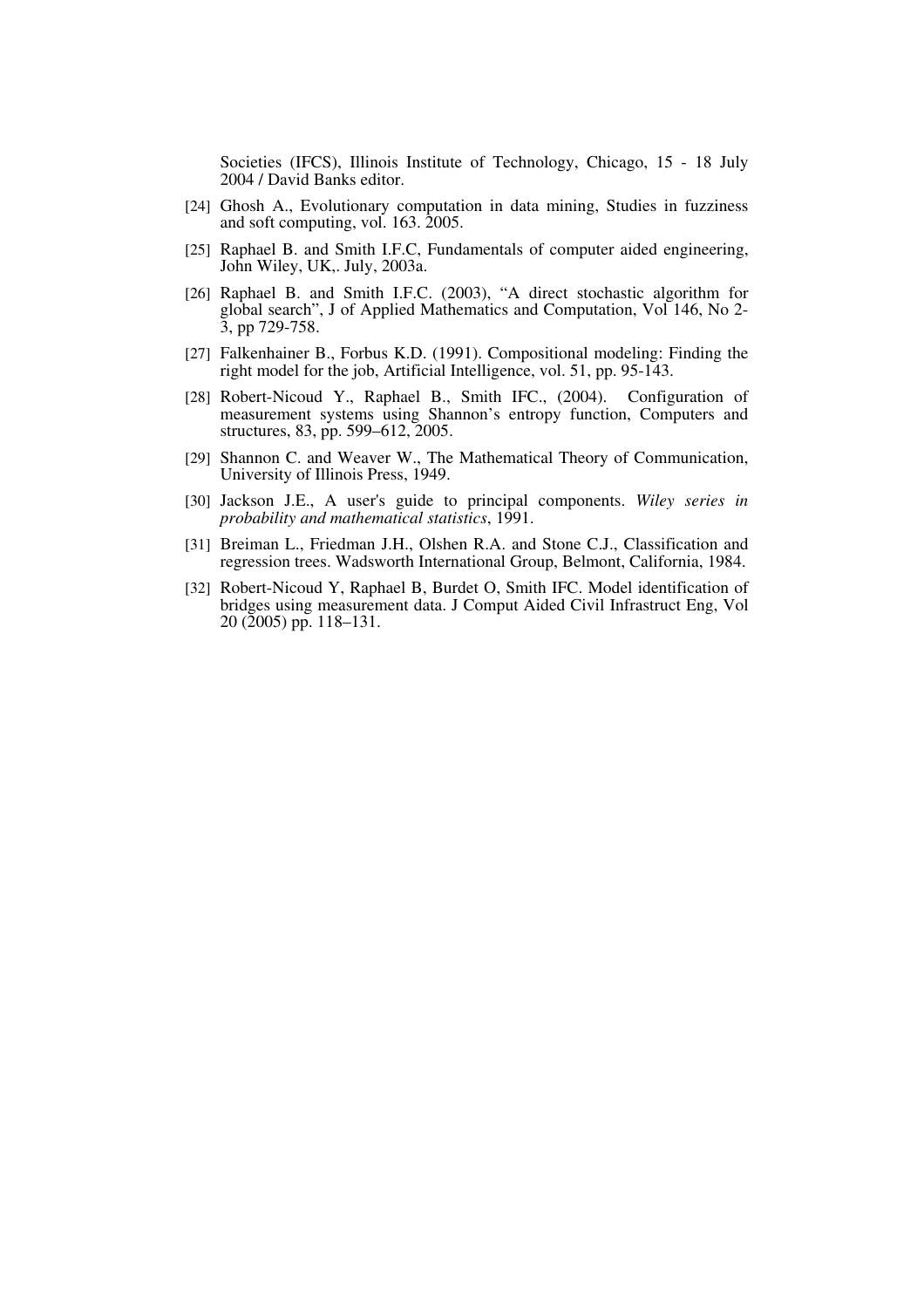Societies (IFCS), Illinois Institute of Technology, Chicago, 15 - 18 July 2004 / David Banks editor.

- [24] Ghosh A., Evolutionary computation in data mining, Studies in fuzziness and soft computing, vol. 163. 2005.
- [25] Raphael B. and Smith I.F.C, Fundamentals of computer aided engineering, John Wiley, UK,. July, 2003a.
- [26] Raphael B. and Smith I.F.C. (2003), "A direct stochastic algorithm for global search", J of Applied Mathematics and Computation, Vol 146, No 2- 3, pp 729-758.
- [27] Falkenhainer B., Forbus K.D. (1991). Compositional modeling: Finding the right model for the job, Artificial Intelligence, vol. 51, pp. 95-143.
- [28] Robert-Nicoud Y., Raphael B., Smith IFC., (2004). Configuration of measurement systems using Shannon's entropy function, Computers and structures, 83, pp. 599–612, 2005.
- [29] Shannon C. and Weaver W., The Mathematical Theory of Communication, University of Illinois Press, 1949.
- [30] Jackson J.E., A user's guide to principal components. *Wiley series in probability and mathematical statistics*, 1991.
- [31] Breiman L., Friedman J.H., Olshen R.A. and Stone C.J., Classification and regression trees. Wadsworth International Group, Belmont, California, 1984.
- [32] Robert-Nicoud Y, Raphael B, Burdet O, Smith IFC. Model identification of bridges using measurement data. J Comput Aided Civil Infrastruct Eng, Vol 20 (2005) pp. 118–131.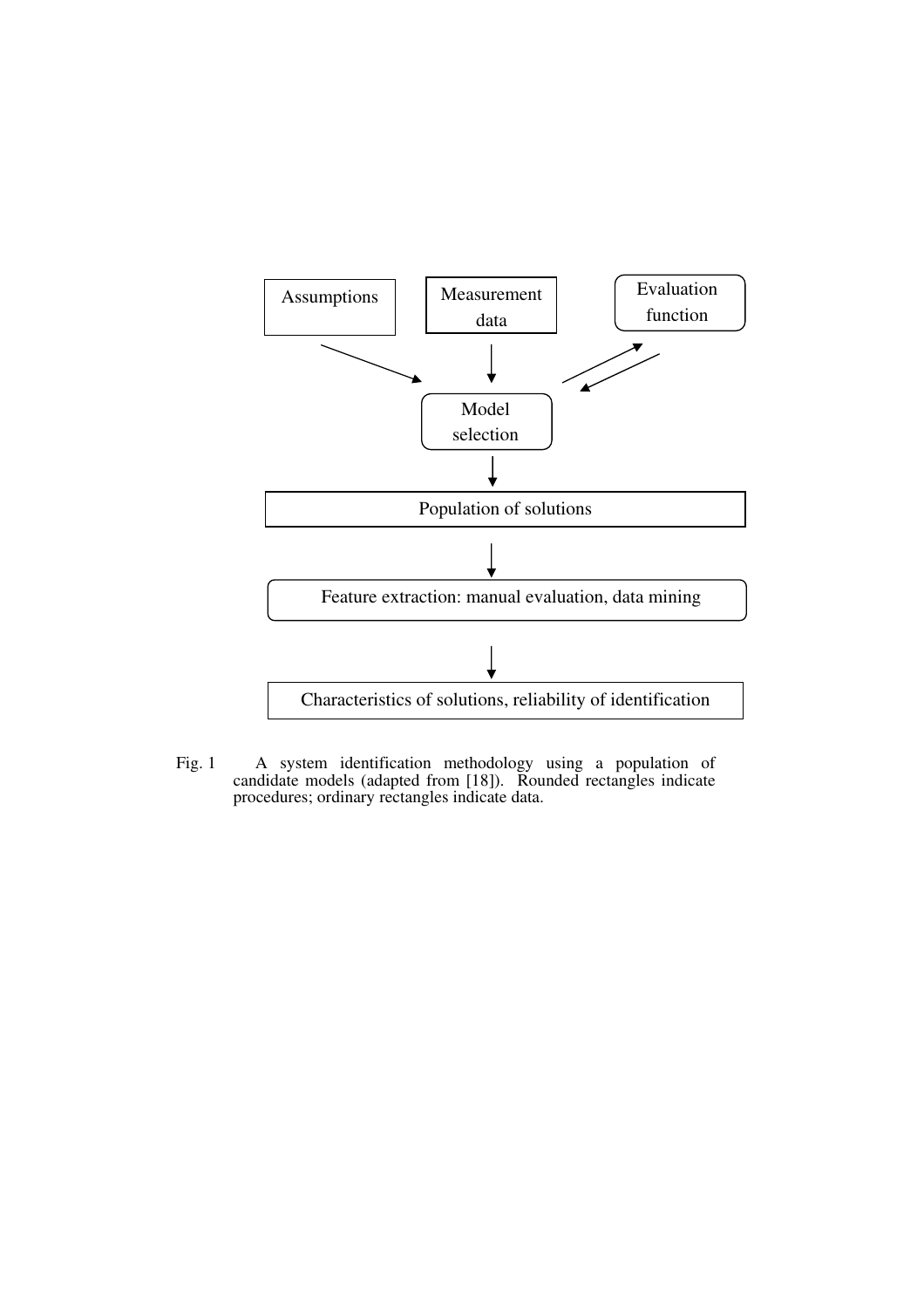

Fig. 1 A system identification methodology using a population of candidate models (adapted from [18]). Rounded rectangles indicate procedures; ordinary rectangles indicate data.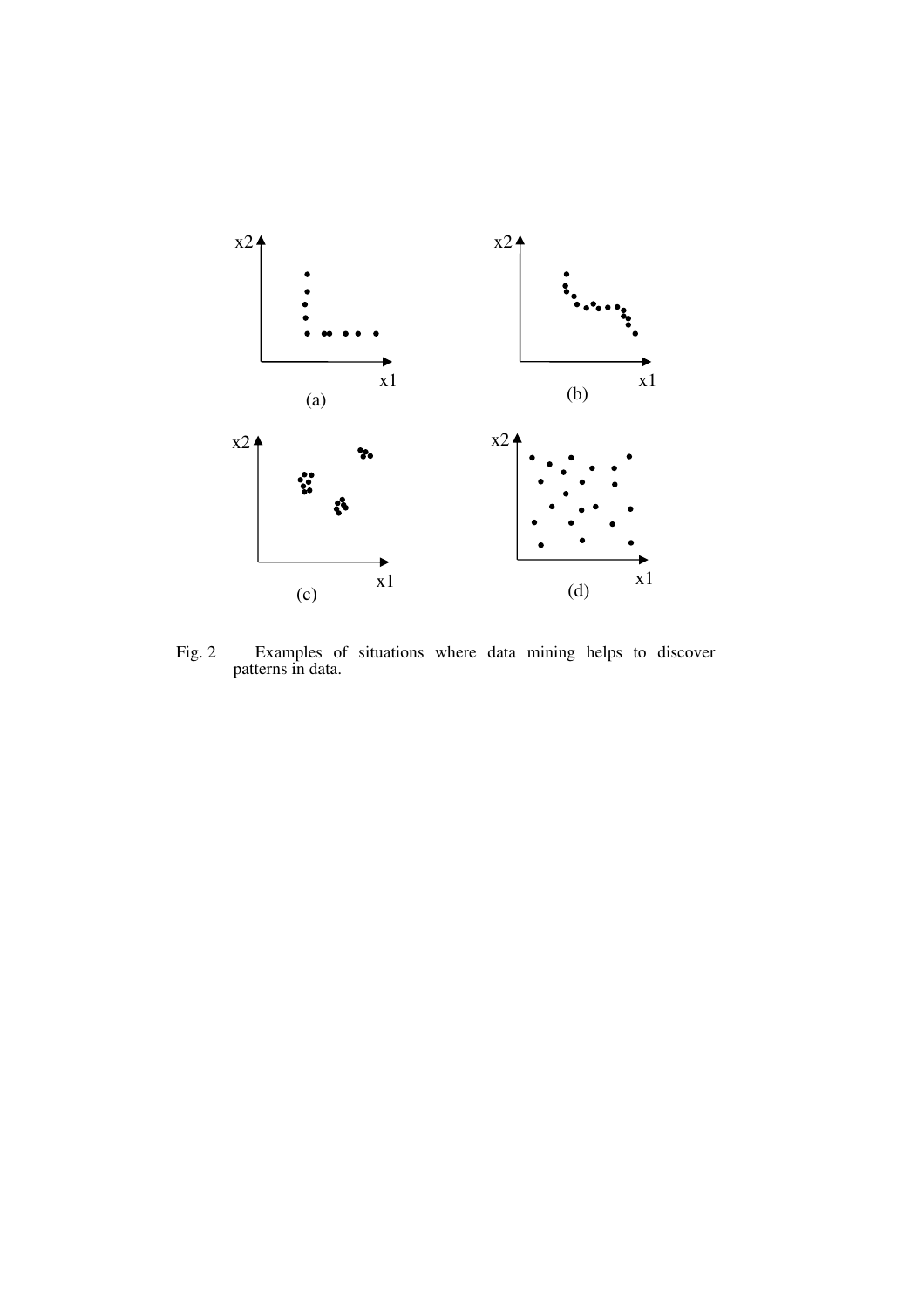

Fig. 2 Examples of situations where data mining helps to discover patterns in data.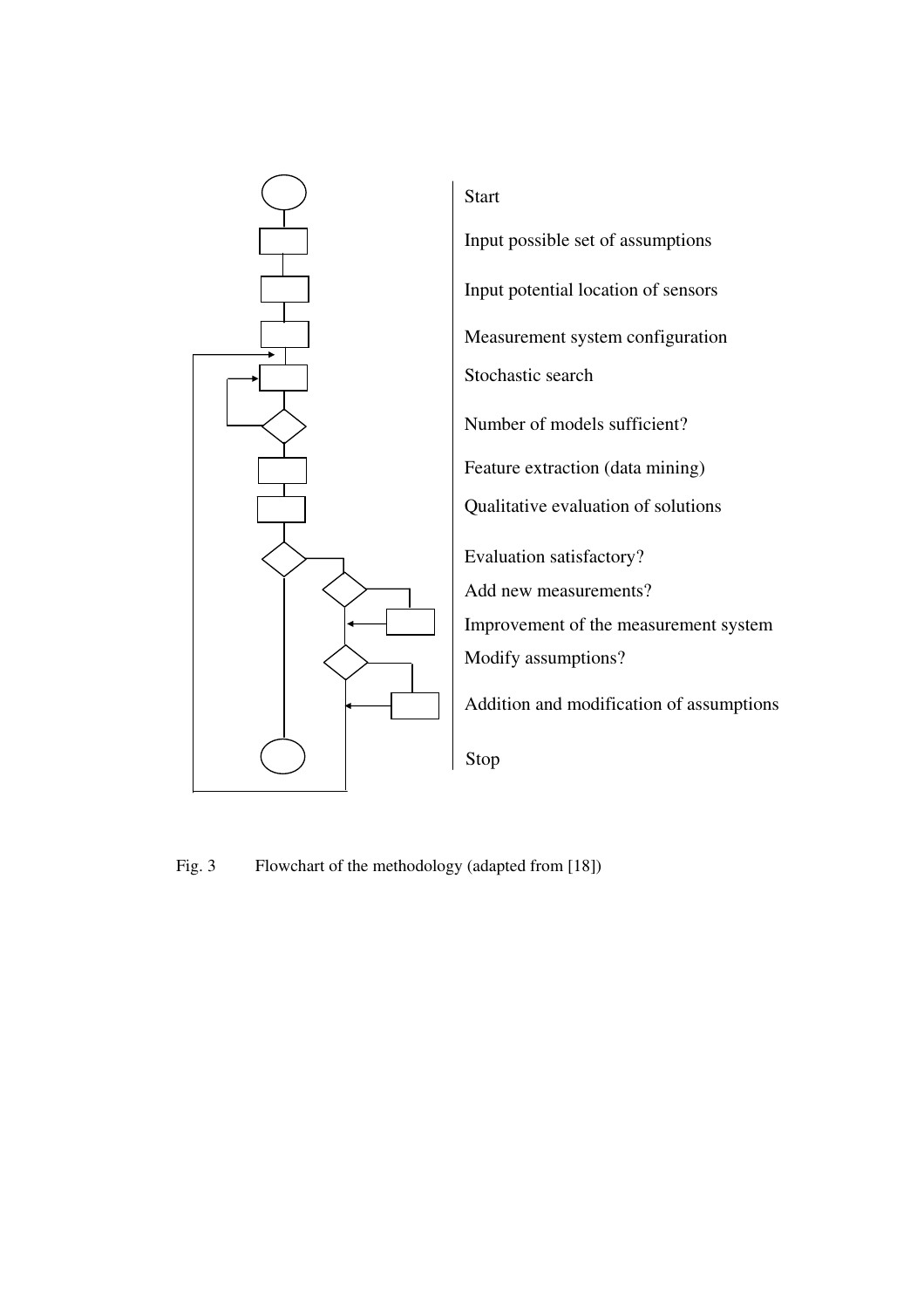

Fig. 3 Flowchart of the methodology (adapted from [18])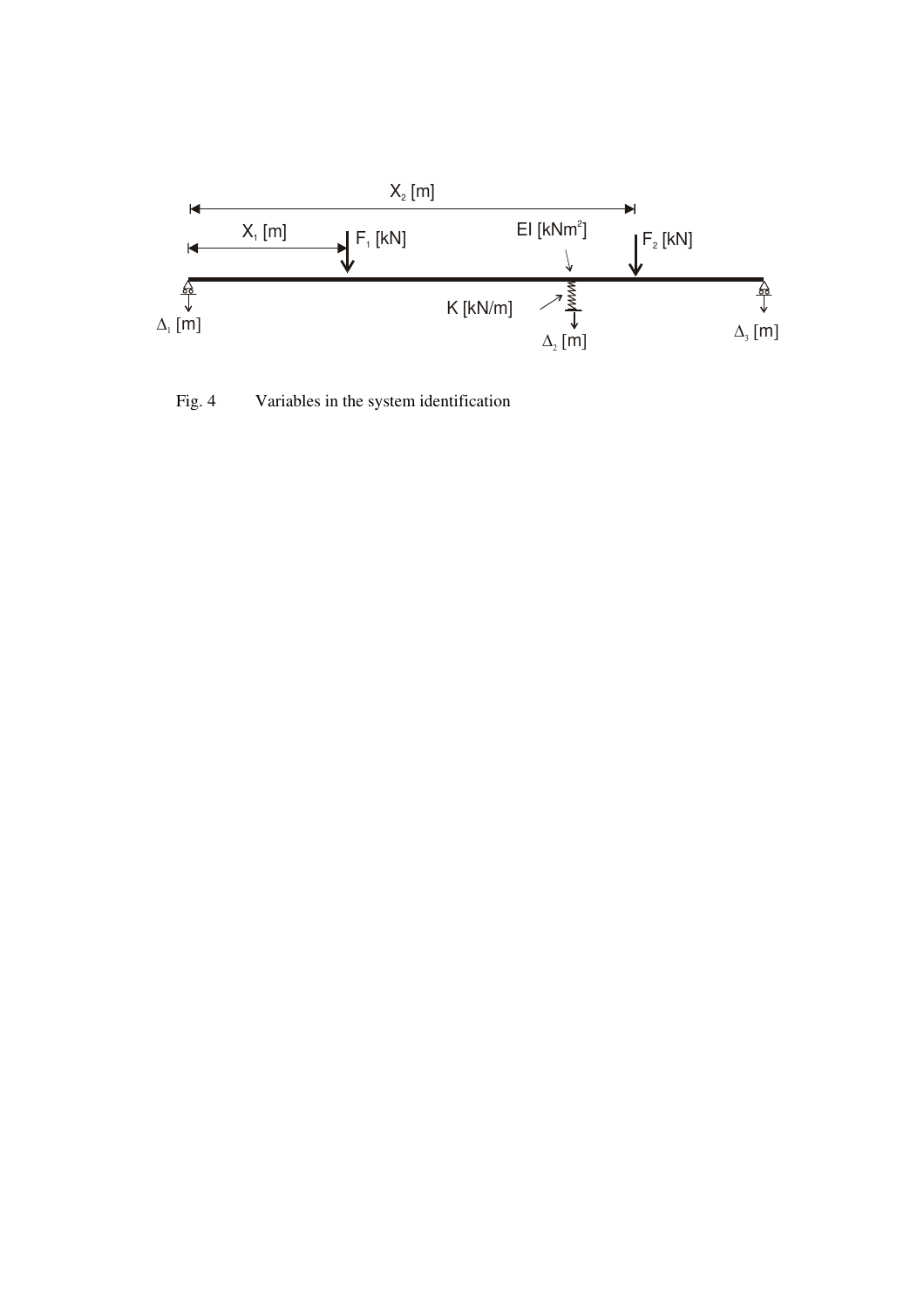

Fig. 4 Variables in the system identification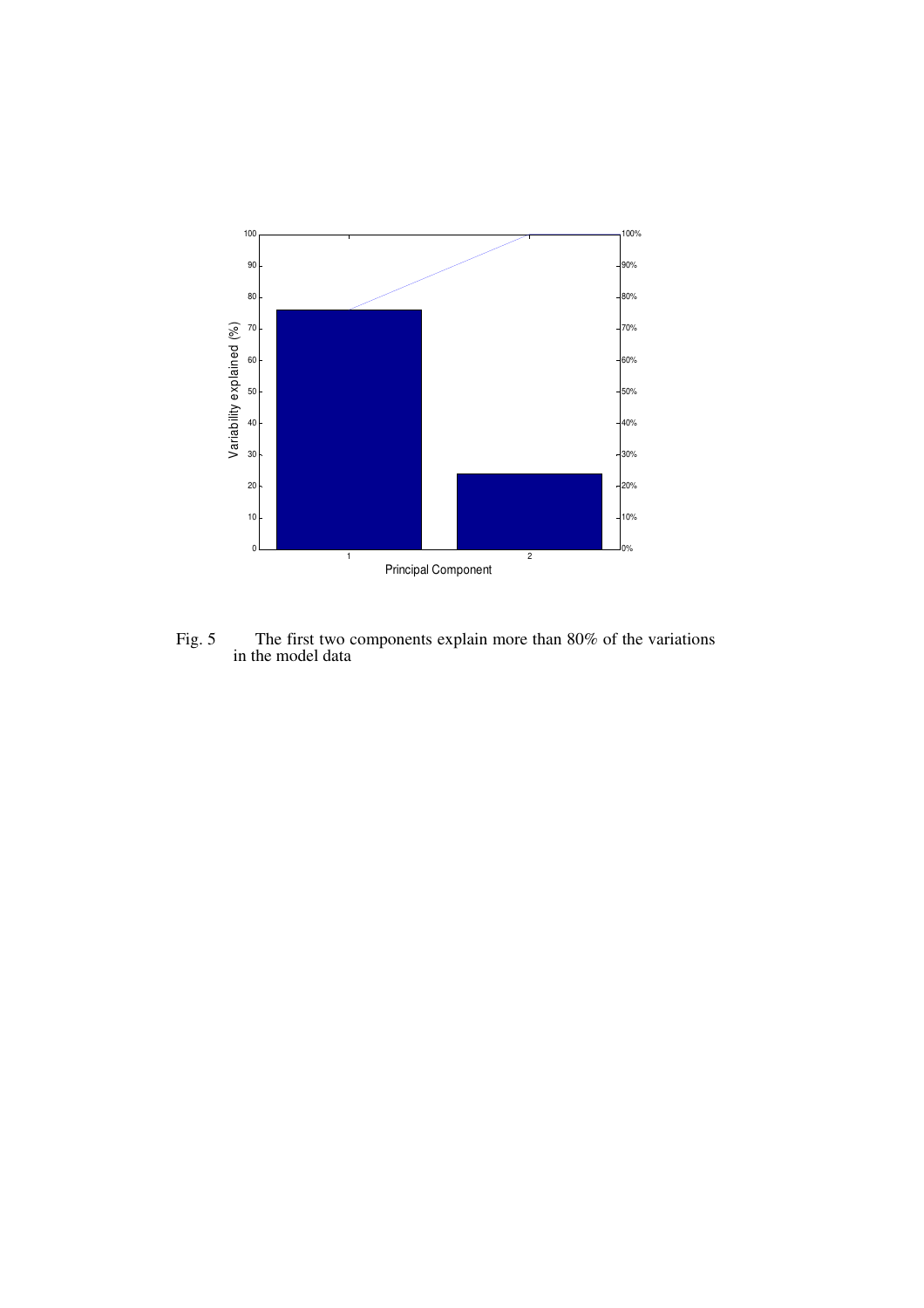

Fig. 5 The first two components explain more than 80% of the variations in the model data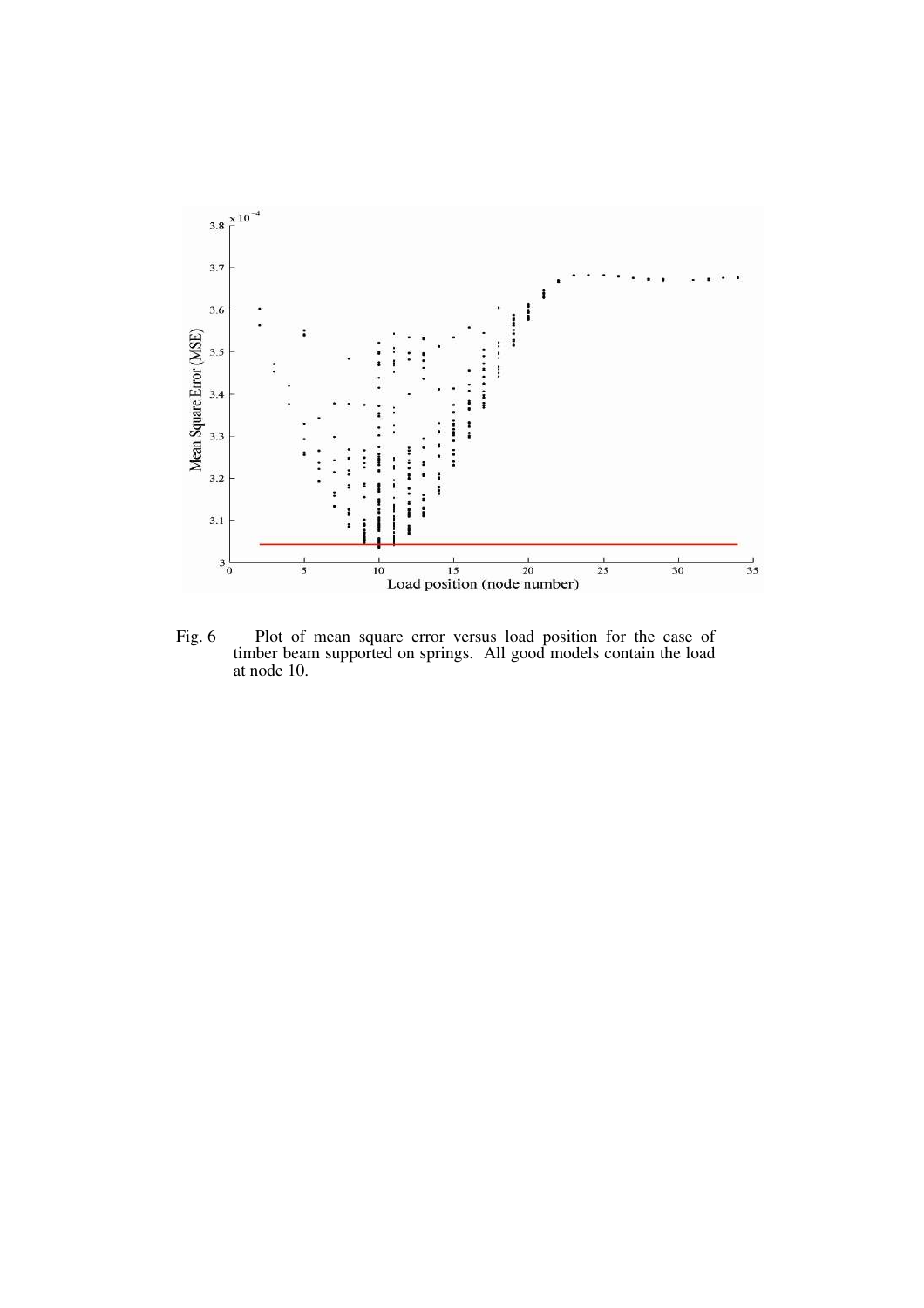

Fig. 6 Plot of mean square error versus load position for the case of timber beam supported on springs. All good models contain the load at node 10.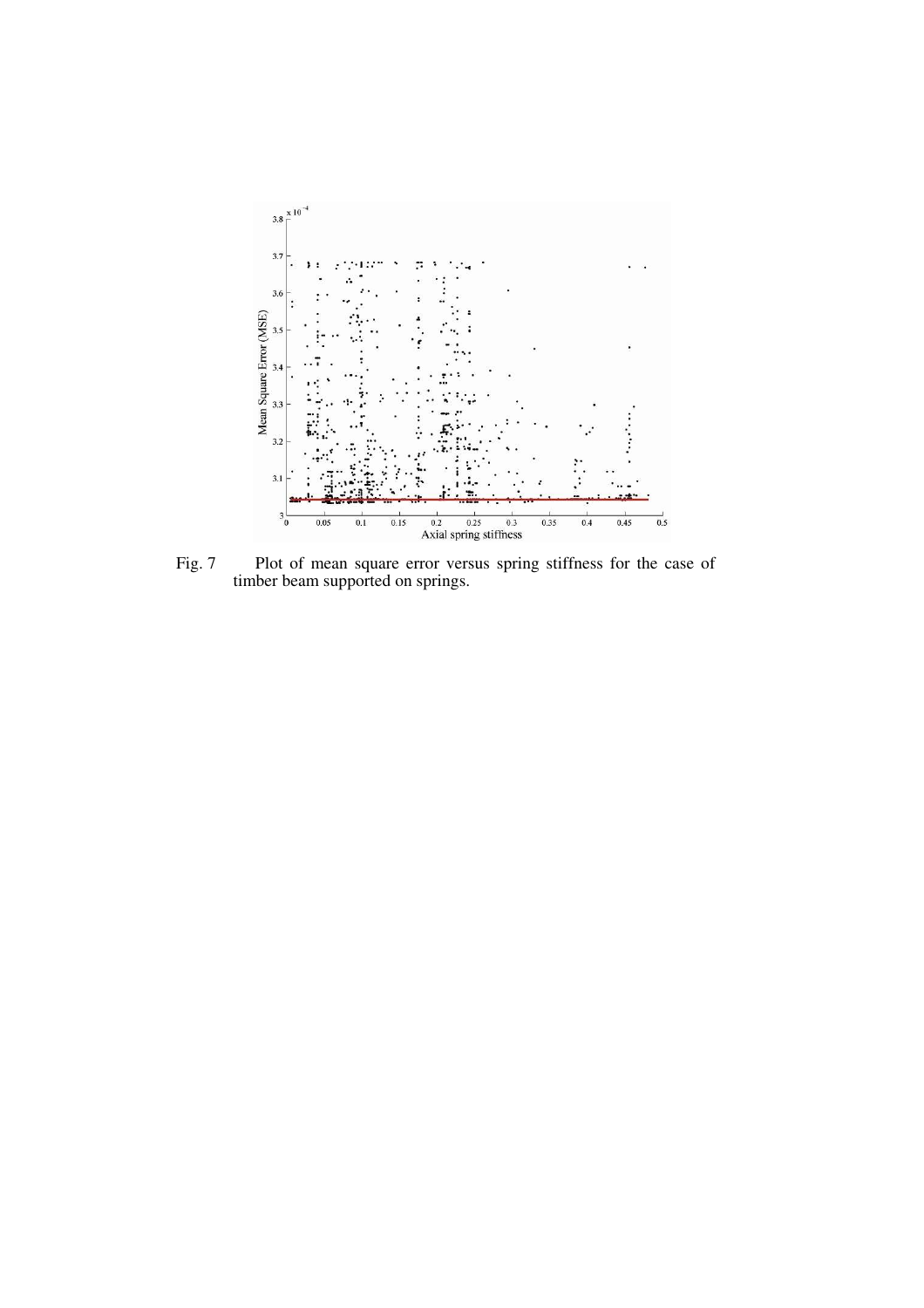

Fig. 7 Plot of mean square error versus spring stiffness for the case of timber beam supported on springs.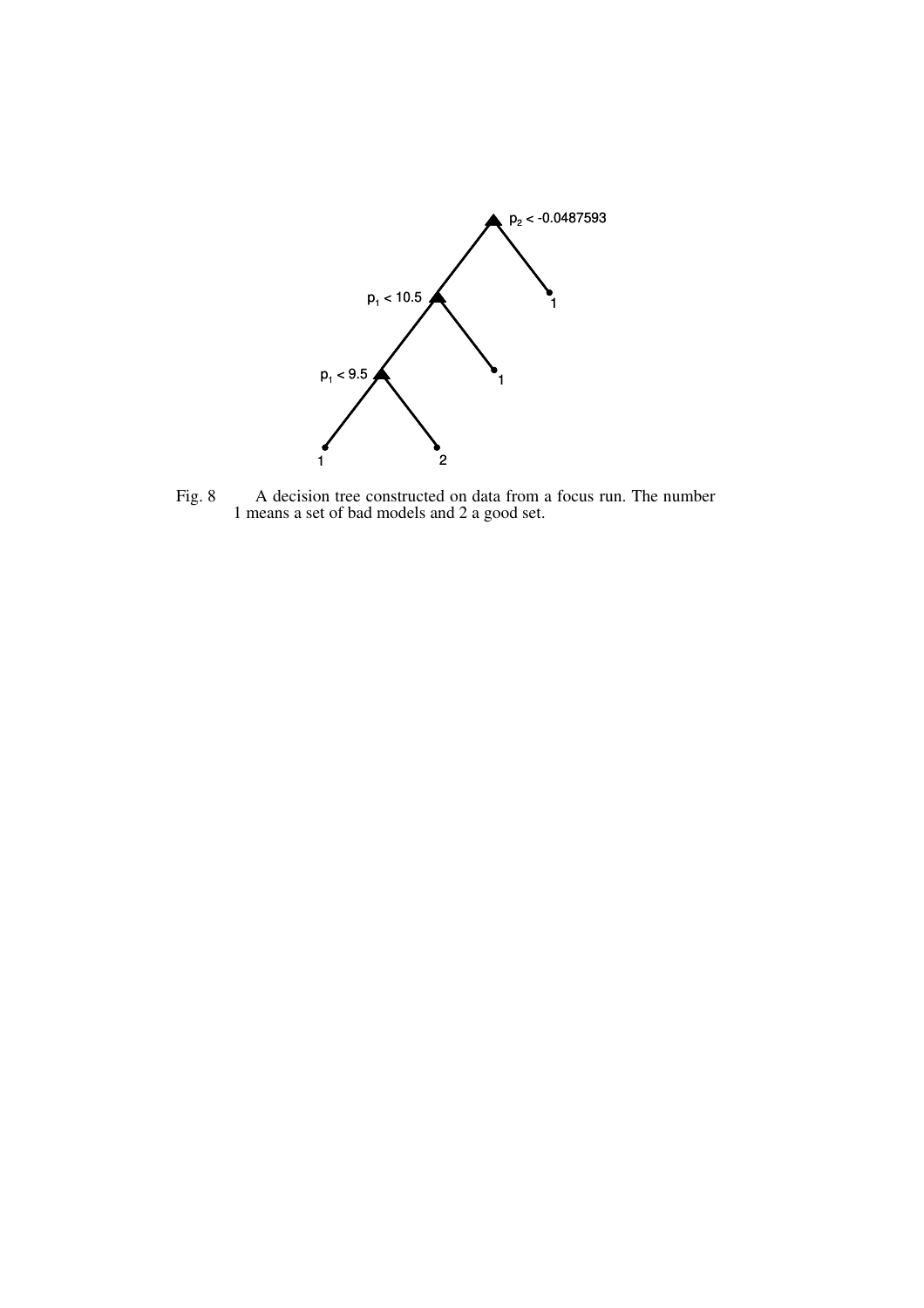

Fig. 8 A decision tree constructed on data from a focus run. The number 1 means a set of bad models and 2 a good set.